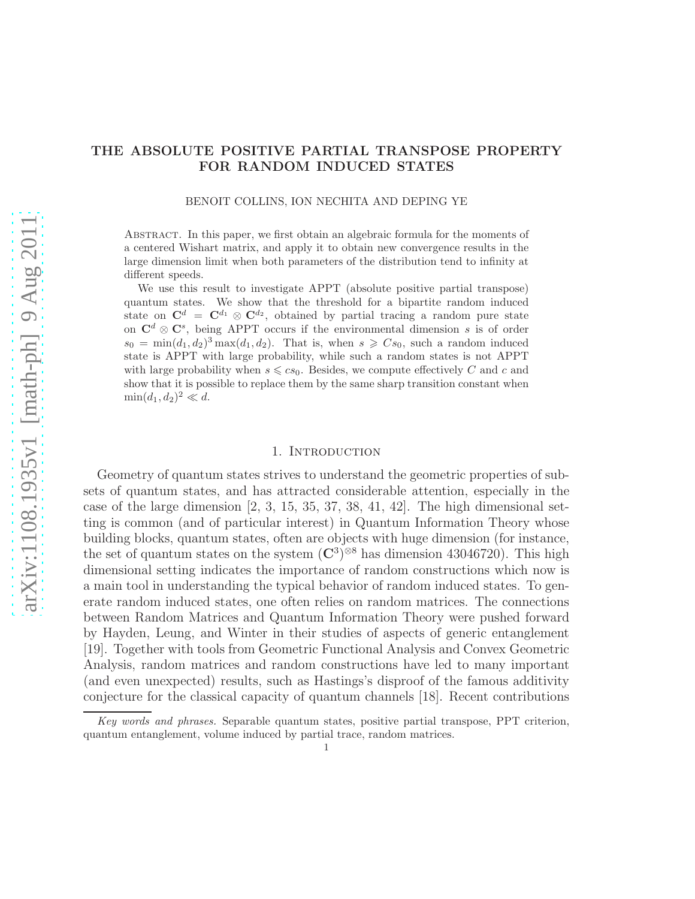# THE ABSOLUTE POSITIVE PARTIAL TRANSPOSE PROPERTY FOR RANDOM INDUCED STATES

### BENOIT COLLINS, ION NECHITA AND DEPING YE

Abstract. In this paper, we first obtain an algebraic formula for the moments of a centered Wishart matrix, and apply it to obtain new convergence results in the large dimension limit when both parameters of the distribution tend to infinity at different speeds.

We use this result to investigate APPT (absolute positive partial transpose) quantum states. We show that the threshold for a bipartite random induced state on  $\mathbf{C}^d = \mathbf{C}^{d_1} \otimes \mathbf{C}^{d_2}$ , obtained by partial tracing a random pure state on  $\mathbf{C}^d \otimes \mathbf{C}^s$ , being APPT occurs if the environmental dimension s is of order  $s_0 = \min(d_1, d_2)^3 \max(d_1, d_2)$ . That is, when  $s \geq C s_0$ , such a random induced state is APPT with large probability, while such a random states is not APPT with large probability when  $s \leqslant c s_0$ . Besides, we compute effectively C and c and show that it is possible to replace them by the same sharp transition constant when  $\min(d_1, d_2)^2 \ll d.$ 

### 1. INTRODUCTION

Geometry of quantum states strives to understand the geometric properties of subsets of quantum states, and has attracted considerable attention, especially in the case of the large dimension  $[2, 3, 15, 35, 37, 38, 41, 42]$ . The high dimensional setting is common (and of particular interest) in Quantum Information Theory whose building blocks, quantum states, often are objects with huge dimension (for instance, the set of quantum states on the system  $(\mathbb{C}^3)^{\otimes 8}$  has dimension 43046720). This high dimensional setting indicates the importance of random constructions which now is a main tool in understanding the typical behavior of random induced states. To generate random induced states, one often relies on random matrices. The connections between Random Matrices and Quantum Information Theory were pushed forward by Hayden, Leung, and Winter in their studies of aspects of generic entanglement [19]. Together with tools from Geometric Functional Analysis and Convex Geometric Analysis, random matrices and random constructions have led to many important (and even unexpected) results, such as Hastings's disproof of the famous additivity conjecture for the classical capacity of quantum channels [18]. Recent contributions

Key words and phrases. Separable quantum states, positive partial transpose, PPT criterion, quantum entanglement, volume induced by partial trace, random matrices. 1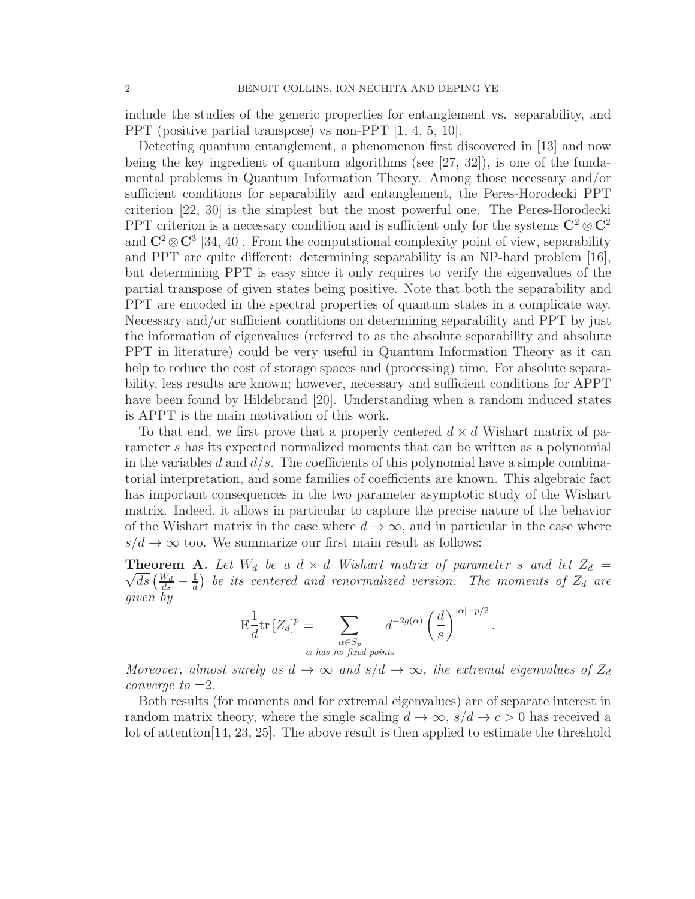include the studies of the generic properties for entanglement vs. separability, and PPT (positive partial transpose) vs non-PPT [1, 4, 5, 10].

Detecting quantum entanglement, a phenomenon first discovered in [13] and now being the key ingredient of quantum algorithms (see [27, 32]), is one of the fundamental problems in Quantum Information Theory. Among those necessary and/or sufficient conditions for separability and entanglement, the Peres-Horodecki PPT criterion [22, 30] is the simplest but the most powerful one. The Peres-Horodecki PPT criterion is a necessary condition and is sufficient only for the systems  $\mathbb{C}^2 \otimes \mathbb{C}^2$ and  $\mathbb{C}^2 \otimes \mathbb{C}^3$  [34, 40]. From the computational complexity point of view, separability and PPT are quite different: determining separability is an NP-hard problem [16], but determining PPT is easy since it only requires to verify the eigenvalues of the partial transpose of given states being positive. Note that both the separability and PPT are encoded in the spectral properties of quantum states in a complicate way. Necessary and/or sufficient conditions on determining separability and PPT by just the information of eigenvalues (referred to as the absolute separability and absolute PPT in literature) could be very useful in Quantum Information Theory as it can help to reduce the cost of storage spaces and (processing) time. For absolute separability, less results are known; however, necessary and sufficient conditions for APPT have been found by Hildebrand [20]. Understanding when a random induced states is APPT is the main motivation of this work.

To that end, we first prove that a properly centered  $d \times d$  Wishart matrix of parameter s has its expected normalized moments that can be written as a polynomial in the variables d and  $d/s$ . The coefficients of this polynomial have a simple combinatorial interpretation, and some families of coefficients are known. This algebraic fact has important consequences in the two parameter asymptotic study of the Wishart matrix. Indeed, it allows in particular to capture the precise nature of the behavior of the Wishart matrix in the case where  $d \to \infty$ , and in particular in the case where  $s/d \rightarrow \infty$  too. We summarize our first main result as follows:

 $\sqrt{ds}\left(\frac{W_d}{ds} - \frac{1}{d}\right)$ **Theorem A.** Let  $W_d$  be a  $d \times d$  Wishart matrix of parameter s and let  $Z_d$  =  $\mathbb{H \over d})$  be its centered and renormalized version. The moments of  $Z_d$  are given by

$$
\mathbb{E}\frac{1}{d}\text{tr}\left[Z_d\right]^p = \sum_{\substack{\alpha \in S_p\\ \alpha \text{ has no fixed points}}} d^{-2g(\alpha)}\left(\frac{d}{s}\right)^{|\alpha|-p/2}
$$

.

Moreover, almost surely as  $d \to \infty$  and  $s/d \to \infty$ , the extremal eigenvalues of  $Z_d$ converge to  $\pm 2$ .

Both results (for moments and for extremal eigenvalues) are of separate interest in random matrix theory, where the single scaling  $d \to \infty$ ,  $s/d \to c > 0$  has received a lot of attention[14, 23, 25]. The above result is then applied to estimate the threshold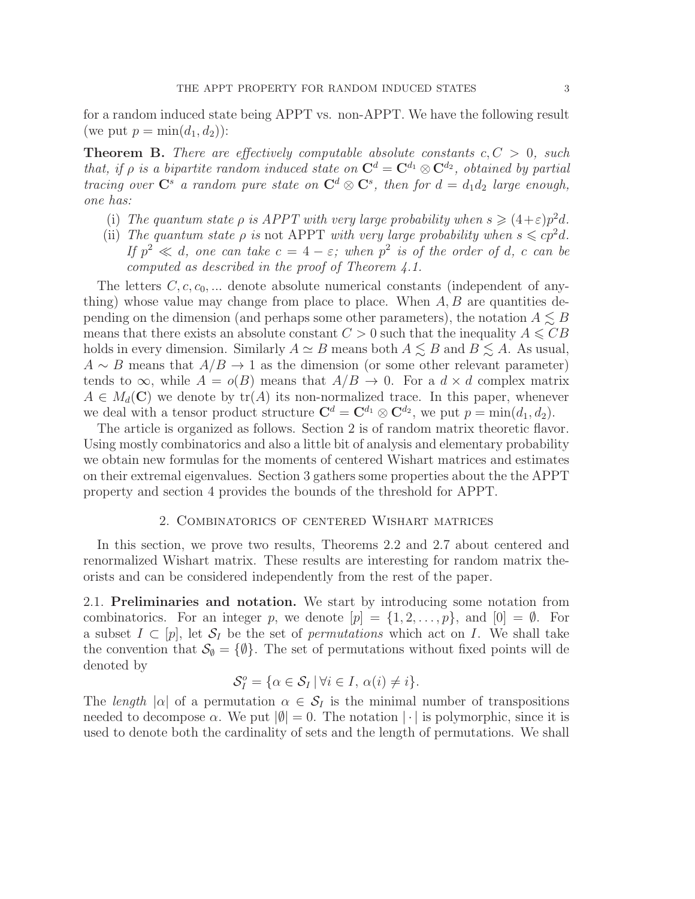for a random induced state being APPT vs. non-APPT. We have the following result (we put  $p = \min(d_1, d_2)$ ):

**Theorem B.** There are effectively computable absolute constants  $c, C > 0$ , such that, if  $\rho$  is a bipartite random induced state on  $\mathbf{C}^d = \mathbf{C}^{d_1} \otimes \mathbf{C}^{d_2}$ , obtained by partial tracing over  $\mathbf{C}^s$  a random pure state on  $\mathbf{C}^d \otimes \mathbf{C}^s$ , then for  $d = d_1 d_2$  large enough, one has:

- (i) The quantum state  $\rho$  is APPT with very large probability when  $s \geq (4+\varepsilon)p^2d$ .
- (ii) The quantum state  $\rho$  is not APPT with very large probability when  $s \leq c p^2 d$ . If  $p^2 \ll d$ , one can take  $c = 4 - \varepsilon$ ; when  $p^2$  is of the order of d, c can be computed as described in the proof of Theorem 4.1.

The letters  $C, c, c_0, \ldots$  denote absolute numerical constants (independent of anything) whose value may change from place to place. When  $A, B$  are quantities depending on the dimension (and perhaps some other parameters), the notation  $A \leq B$ means that there exists an absolute constant  $C > 0$  such that the inequality  $A \leqslant CB$ holds in every dimension. Similarly  $A \simeq B$  means both  $A \lesssim B$  and  $B \lesssim A$ . As usual,  $A \sim B$  means that  $A/B \to 1$  as the dimension (or some other relevant parameter) tends to  $\infty$ , while  $A = o(B)$  means that  $A/B \to 0$ . For a  $d \times d$  complex matrix  $A \in M_d(\mathbf{C})$  we denote by  $tr(A)$  its non-normalized trace. In this paper, whenever we deal with a tensor product structure  $\mathbf{C}^d = \mathbf{C}^{d_1} \otimes \mathbf{C}^{d_2}$ , we put  $p = \min(d_1, d_2)$ .

The article is organized as follows. Section 2 is of random matrix theoretic flavor. Using mostly combinatorics and also a little bit of analysis and elementary probability we obtain new formulas for the moments of centered Wishart matrices and estimates on their extremal eigenvalues. Section 3 gathers some properties about the the APPT property and section 4 provides the bounds of the threshold for APPT.

## 2. Combinatorics of centered Wishart matrices

In this section, we prove two results, Theorems 2.2 and 2.7 about centered and renormalized Wishart matrix. These results are interesting for random matrix theorists and can be considered independently from the rest of the paper.

2.1. Preliminaries and notation. We start by introducing some notation from combinatorics. For an integer p, we denote  $[p] = \{1, 2, \ldots, p\}$ , and  $[0] = \emptyset$ . For a subset  $I \subset [p]$ , let  $S_I$  be the set of *permutations* which act on I. We shall take the convention that  $\mathcal{S}_{\emptyset} = {\emptyset}$ . The set of permutations without fixed points will de denoted by

$$
\mathcal{S}_I^o = \{ \alpha \in \mathcal{S}_I \, | \, \forall i \in I, \, \alpha(i) \neq i \}.
$$

The length  $|\alpha|$  of a permutation  $\alpha \in \mathcal{S}_I$  is the minimal number of transpositions needed to decompose  $\alpha$ . We put  $|\emptyset| = 0$ . The notation  $|\cdot|$  is polymorphic, since it is used to denote both the cardinality of sets and the length of permutations. We shall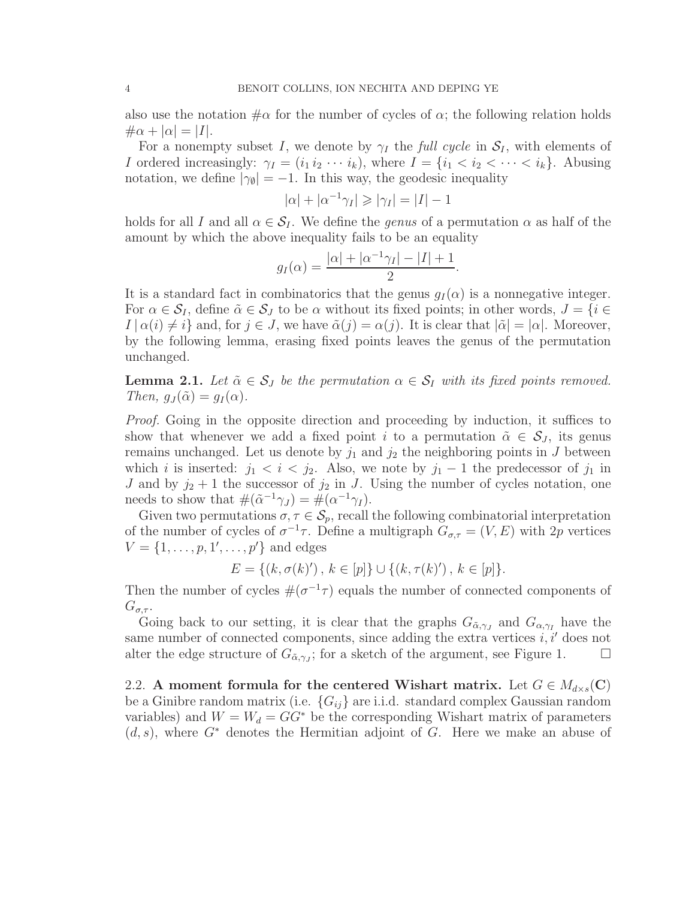also use the notation  $\#\alpha$  for the number of cycles of  $\alpha$ ; the following relation holds  $\#\alpha + |\alpha| = |I|.$ 

For a nonempty subset I, we denote by  $\gamma_I$  the full cycle in  $\mathcal{S}_I$ , with elements of *I* ordered increasingly:  $\gamma_I = (i_1 i_2 \cdots i_k)$ , where  $I = \{i_1 < i_2 < \cdots < i_k\}$ . Abusing notation, we define  $|\gamma_{\emptyset}| = -1$ . In this way, the geodesic inequality

$$
|\alpha| + |\alpha^{-1}\gamma_I| \ge |\gamma_I| = |I| - 1
$$

holds for all I and all  $\alpha \in \mathcal{S}_I$ . We define the *genus* of a permutation  $\alpha$  as half of the amount by which the above inequality fails to be an equality

$$
g_I(\alpha) = \frac{|\alpha| + |\alpha^{-1}\gamma_I| - |I| + 1}{2}.
$$

It is a standard fact in combinatorics that the genus  $q_I(\alpha)$  is a nonnegative integer. For  $\alpha \in \mathcal{S}_I$ , define  $\tilde{\alpha} \in \mathcal{S}_J$  to be  $\alpha$  without its fixed points; in other words,  $J = \{i \in I\}$  $I | \alpha(i) \neq i$  and, for  $j \in J$ , we have  $\tilde{\alpha}(j) = \alpha(j)$ . It is clear that  $|\tilde{\alpha}| = |\alpha|$ . Moreover, by the following lemma, erasing fixed points leaves the genus of the permutation unchanged.

**Lemma 2.1.** Let  $\tilde{\alpha} \in \mathcal{S}_J$  be the permutation  $\alpha \in \mathcal{S}_I$  with its fixed points removed. Then,  $g_J(\tilde{\alpha}) = g_I(\alpha)$ .

Proof. Going in the opposite direction and proceeding by induction, it suffices to show that whenever we add a fixed point i to a permutation  $\tilde{\alpha} \in \mathcal{S}_J$ , its genus remains unchanged. Let us denote by  $j_1$  and  $j_2$  the neighboring points in J between which i is inserted:  $j_1 < i < j_2$ . Also, we note by  $j_1 - 1$  the predecessor of  $j_1$  in J and by  $j_2 + 1$  the successor of  $j_2$  in J. Using the number of cycles notation, one needs to show that  $\#(\tilde{\alpha}^{-1}\gamma_J) = \#(\alpha^{-1}\gamma_I).$ 

Given two permutations  $\sigma, \tau \in \mathcal{S}_p$ , recall the following combinatorial interpretation of the number of cycles of  $\sigma^{-1}\tau$ . Define a multigraph  $G_{\sigma,\tau} = (V, E)$  with 2p vertices  $V = \{1, \ldots, p, 1', \ldots, p'\}$  and edges

$$
E = \{(k, \sigma(k)'), k \in [p]\} \cup \{(k, \tau(k)'), k \in [p]\}.
$$

Then the number of cycles  $\#(\sigma^{-1}\tau)$  equals the number of connected components of  $G_{\sigma,\tau}$ .

Going back to our setting, it is clear that the graphs  $G_{\tilde{\alpha},\gamma_J}$  and  $G_{\alpha,\gamma_I}$  have the same number of connected components, since adding the extra vertices  $i, i'$  does not alter the edge structure of  $G_{\tilde{\alpha},\gamma_j}$ ; for a sketch of the argument, see Figure 1.  $\Box$ 

2.2. A moment formula for the centered Wishart matrix. Let  $G \in M_{d\times s}(C)$ be a Ginibre random matrix (i.e.  ${G_{ij}}$  are i.i.d. standard complex Gaussian random variables) and  $W = W_d = GG^*$  be the corresponding Wishart matrix of parameters  $(d, s)$ , where  $G^*$  denotes the Hermitian adjoint of G. Here we make an abuse of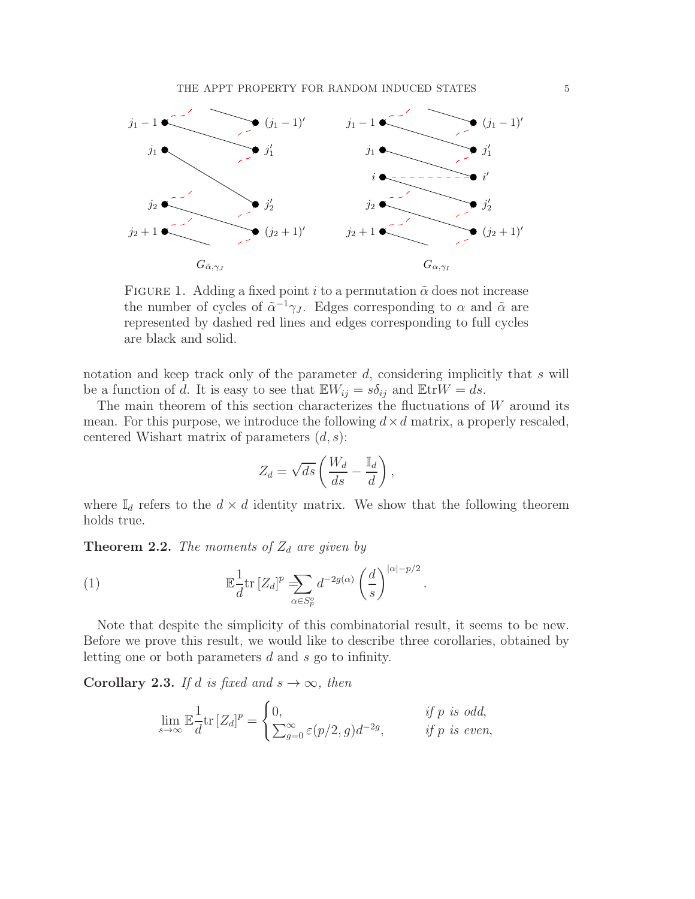

FIGURE 1. Adding a fixed point i to a permutation  $\tilde{\alpha}$  does not increase the number of cycles of  $\tilde{\alpha}^{-1}\gamma_J$ . Edges corresponding to  $\alpha$  and  $\tilde{\alpha}$  are represented by dashed red lines and edges corresponding to full cycles are black and solid.

notation and keep track only of the parameter d, considering implicitly that s will be a function of d. It is easy to see that  $\mathbb{E}W_{ij} = s\delta_{ij}$  and  $\mathbb{E}trW = ds$ .

The main theorem of this section characterizes the fluctuations of  $W$  around its mean. For this purpose, we introduce the following  $d \times d$  matrix, a properly rescaled, centered Wishart matrix of parameters  $(d, s)$ :

$$
Z_d = \sqrt{ds} \left( \frac{W_d}{ds} - \frac{\mathbb{I}_d}{d} \right),\,
$$

where  $\mathbb{I}_d$  refers to the  $d \times d$  identity matrix. We show that the following theorem holds true.

**Theorem 2.2.** The moments of  $Z_d$  are given by

(1) 
$$
\mathbb{E}\frac{1}{d}\text{tr}\left[Z_d\right]^p \sum_{\alpha \in S_p^o} d^{-2g(\alpha)}\left(\frac{d}{s}\right)^{|\alpha|-p/2}.
$$

Note that despite the simplicity of this combinatorial result, it seems to be new. Before we prove this result, we would like to describe three corollaries, obtained by letting one or both parameters d and s go to infinity.

**Corollary 2.3.** If d is fixed and  $s \to \infty$ , then

$$
\lim_{s \to \infty} \mathbb{E} \frac{1}{d} \text{tr} \left[ Z_d \right]^p = \begin{cases} 0, & \text{if } p \text{ is odd,} \\ \sum_{g=0}^{\infty} \varepsilon(p/2, g) d^{-2g}, & \text{if } p \text{ is even,} \end{cases}
$$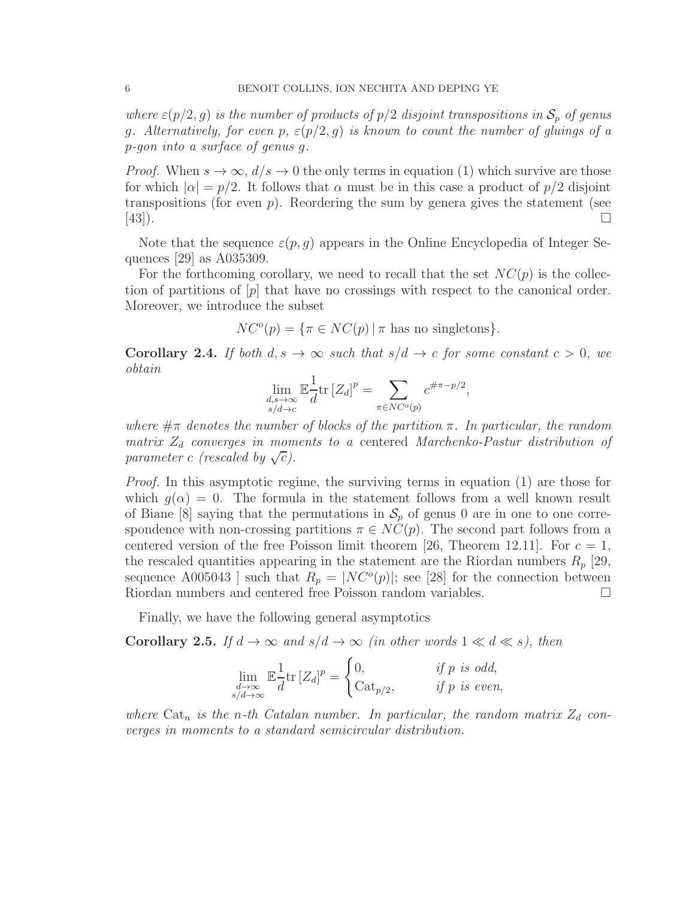where  $\varepsilon(p/2, g)$  is the number of products of  $p/2$  disjoint transpositions in  $S_p$  of genus g. Alternatively, for even p,  $\varepsilon(p/2, g)$  is known to count the number of gluings of a p-gon into a surface of genus g.

*Proof.* When  $s \to \infty$ ,  $d/s \to 0$  the only terms in equation (1) which survive are those for which  $|\alpha| = p/2$ . It follows that  $\alpha$  must be in this case a product of  $p/2$  disjoint transpositions (for even  $p$ ). Reordering the sum by genera gives the statement (see  $[43]$ .

Note that the sequence  $\varepsilon(p, q)$  appears in the Online Encyclopedia of Integer Sequences [29] as A035309.

For the forthcoming corollary, we need to recall that the set  $NC(p)$  is the collection of partitions of  $|p|$  that have no crossings with respect to the canonical order. Moreover, we introduce the subset

$$
NC^{o}(p) = \{ \pi \in NC(p) | \pi \text{ has no singletons} \}.
$$

**Corollary 2.4.** If both  $d, s \to \infty$  such that  $s/d \to c$  for some constant  $c > 0$ , we obtain

$$
\lim_{\substack{d,s\to\infty\\s/d\to c}} \mathbb{E}\frac{1}{d} \text{tr}\left[Z_d\right]^p = \sum_{\pi \in NC^o(p)} c^{\#\pi - p/2},
$$

where  $\#\pi$  denotes the number of blocks of the partition  $\pi$ . In particular, the random matrix  $Z_d$  converges in moments to a centered Marchenko-Pastur distribution of parameter c (rescaled by  $\sqrt{c}$ ).

Proof. In this asymptotic regime, the surviving terms in equation (1) are those for which  $g(\alpha) = 0$ . The formula in the statement follows from a well known result of Biane [8] saying that the permutations in  $S_p$  of genus 0 are in one to one correspondence with non-crossing partitions  $\pi \in NC(p)$ . The second part follows from a centered version of the free Poisson limit theorem [26, Theorem 12.11]. For  $c = 1$ , the rescaled quantities appearing in the statement are the Riordan numbers  $R_p$  [29, sequence A005043 ] such that  $R_p = |NC^o(p)|$ ; see [28] for the connection between Riordan numbers and centered free Poisson random variables.

Finally, we have the following general asymptotics

**Corollary 2.5.** If  $d \to \infty$  and  $s/d \to \infty$  (in other words  $1 \ll d \ll s$ ), then

$$
\lim_{\substack{d \to \infty \\ s/d \to \infty}} \mathbb{E} \frac{1}{d} \text{tr} \left[ Z_d \right]^p = \begin{cases} 0, & \text{if } p \text{ is odd,} \\ \text{Cat}_{p/2}, & \text{if } p \text{ is even,} \end{cases}
$$

where  $\text{Cat}_n$  is the n-th Catalan number. In particular, the random matrix  $Z_d$  converges in moments to a standard semicircular distribution.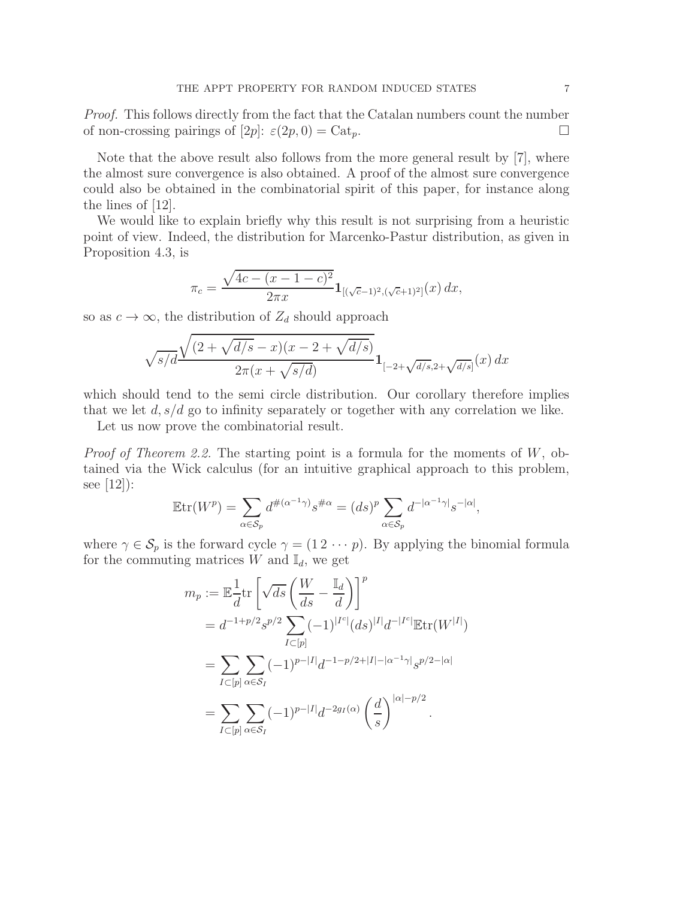Proof. This follows directly from the fact that the Catalan numbers count the number of non-crossing pairings of  $[2p]$ :  $\varepsilon(2p, 0) = \text{Cat}_p$ .

Note that the above result also follows from the more general result by [7], where the almost sure convergence is also obtained. A proof of the almost sure convergence could also be obtained in the combinatorial spirit of this paper, for instance along the lines of [12].

We would like to explain briefly why this result is not surprising from a heuristic point of view. Indeed, the distribution for Marcenko-Pastur distribution, as given in Proposition 4.3, is

$$
\pi_c = \frac{\sqrt{4c - (x - 1 - c)^2}}{2\pi x} \mathbf{1}_{[(\sqrt{c} - 1)^2, (\sqrt{c} + 1)^2]}(x) dx,
$$

so as  $c \to \infty$ , the distribution of  $Z_d$  should approach

$$
\sqrt{s/d} \frac{\sqrt{(2+\sqrt{d/s}-x)(x-2+\sqrt{d/s})}}{2\pi(x+\sqrt{s/d})} 1_{[-2+\sqrt{d/s},2+\sqrt{d/s}]}(x) dx
$$

which should tend to the semi circle distribution. Our corollary therefore implies that we let  $d, s/d$  go to infinity separately or together with any correlation we like.

Let us now prove the combinatorial result.

*Proof of Theorem 2.2.* The starting point is a formula for the moments of  $W$ , obtained via the Wick calculus (for an intuitive graphical approach to this problem, see [12]):

$$
\mathbb{E}\mathrm{tr}(W^p) = \sum_{\alpha \in \mathcal{S}_p} d^{\#(\alpha^{-1}\gamma)} s^{\# \alpha} = (ds)^p \sum_{\alpha \in \mathcal{S}_p} d^{-|\alpha^{-1}\gamma|} s^{-|\alpha|},
$$

where  $\gamma \in \mathcal{S}_p$  is the forward cycle  $\gamma = (1 \, 2 \, \cdots \, p)$ . By applying the binomial formula for the commuting matrices  $W$  and  $\mathbb{I}_d$ , we get

$$
m_p := \mathbb{E}\frac{1}{d}\text{tr}\left[\sqrt{ds}\left(\frac{W}{ds} - \frac{\mathbb{I}_d}{d}\right)\right]^p
$$
  
\n
$$
= d^{-1+p/2}s^{p/2}\sum_{I\subset [p]}(-1)^{|I^c|}(ds)^{|I|}d^{-|I^c|}\mathbb{E}\text{tr}(W^{|I|})
$$
  
\n
$$
= \sum_{I\subset [p]}\sum_{\alpha\in S_I}(-1)^{p-|I|}d^{-1-p/2+|I|-|\alpha^{-1}\gamma|}s^{p/2-|\alpha|}
$$
  
\n
$$
= \sum_{I\subset [p]}\sum_{\alpha\in S_I}(-1)^{p-|I|}d^{-2g_I(\alpha)}\left(\frac{d}{s}\right)^{|\alpha|-p/2}.
$$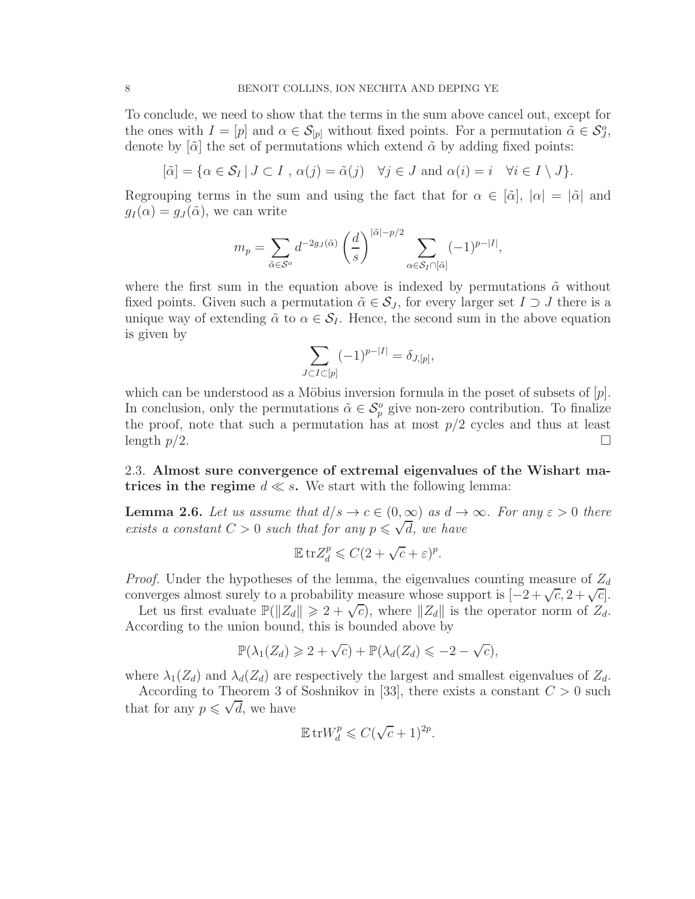To conclude, we need to show that the terms in the sum above cancel out, except for the ones with  $I = [p]$  and  $\alpha \in \mathcal{S}_{[p]}$  without fixed points. For a permutation  $\tilde{\alpha} \in \mathcal{S}_{\mathcal{J}}^o$ , denote by  $[\tilde{\alpha}]$  the set of permutations which extend  $\tilde{\alpha}$  by adding fixed points:

$$
[\tilde{\alpha}] = \{ \alpha \in \mathcal{S}_I \mid J \subset I \text{ , } \alpha(j) = \tilde{\alpha}(j) \quad \forall j \in J \text{ and } \alpha(i) = i \quad \forall i \in I \setminus J \}.
$$

Regrouping terms in the sum and using the fact that for  $\alpha \in [\tilde{\alpha}], |\alpha| = |\tilde{\alpha}|$  and  $g_I(\alpha) = g_J(\tilde{\alpha})$ , we can write

$$
m_p = \sum_{\tilde{\alpha} \in \mathcal{S}^o} d^{-2g_J(\tilde{\alpha})} \left(\frac{d}{s}\right)^{|\tilde{\alpha}| - p/2} \sum_{\alpha \in \mathcal{S}_I \cap [\tilde{\alpha}]} (-1)^{p - |I|},
$$

where the first sum in the equation above is indexed by permutations  $\tilde{\alpha}$  without fixed points. Given such a permutation  $\tilde{\alpha} \in \mathcal{S}_J$ , for every larger set  $I \supset J$  there is a unique way of extending  $\tilde{\alpha}$  to  $\alpha \in \mathcal{S}_I$ . Hence, the second sum in the above equation is given by

$$
\sum_{J \subset I \subset [p]} (-1)^{p-|I|} = \delta_{J,[p]},
$$

which can be understood as a Möbius inversion formula in the poset of subsets of  $[p]$ . In conclusion, only the permutations  $\tilde{\alpha} \in \mathcal{S}_{p}^{o}$  give non-zero contribution. To finalize the proof, note that such a permutation has at most  $p/2$  cycles and thus at least length  $p/2$ .

2.3. Almost sure convergence of extremal eigenvalues of the Wishart matrices in the regime  $d \ll s$ . We start with the following lemma:

**Lemma 2.6.** Let us assume that  $d/s \to c \in (0,\infty)$  as  $d \to \infty$ . For any  $\varepsilon > 0$  there exists a constant  $C > 0$  such that for any  $p \leq \sqrt{d}$ , we have

$$
\mathbb{E}\,\mathrm{tr}Z_d^p \leqslant C(2+\sqrt{c}+\varepsilon)^p.
$$

*Proof.* Under the hypotheses of the lemma, the eigenvalues counting measure of  $Z_d$ converges almost surely to a probability measure whose support is  $[-2 + \sqrt{c}, 2 + \sqrt{c}]$ .

Let us first evaluate  $\mathbb{P}(\|Z_d\| \geq 2 + \sqrt{c})$ , where  $\|Z_d\|$  is the operator norm of  $Z_d$ . According to the union bound, this is bounded above by

$$
\mathbb{P}(\lambda_1(Z_d) \geq 2 + \sqrt{c}) + \mathbb{P}(\lambda_d(Z_d) \leq -2 - \sqrt{c}),
$$

where  $\lambda_1(Z_d)$  and  $\lambda_d(Z_d)$  are respectively the largest and smallest eigenvalues of  $Z_d$ .

According to Theorem 3 of Soshnikov in [33], there exists a constant  $C > 0$  such that for any  $p \leq \sqrt{d}$ , we have

$$
\mathbb{E} \operatorname{tr} W_d^p \leqslant C(\sqrt{c}+1)^{2p}.
$$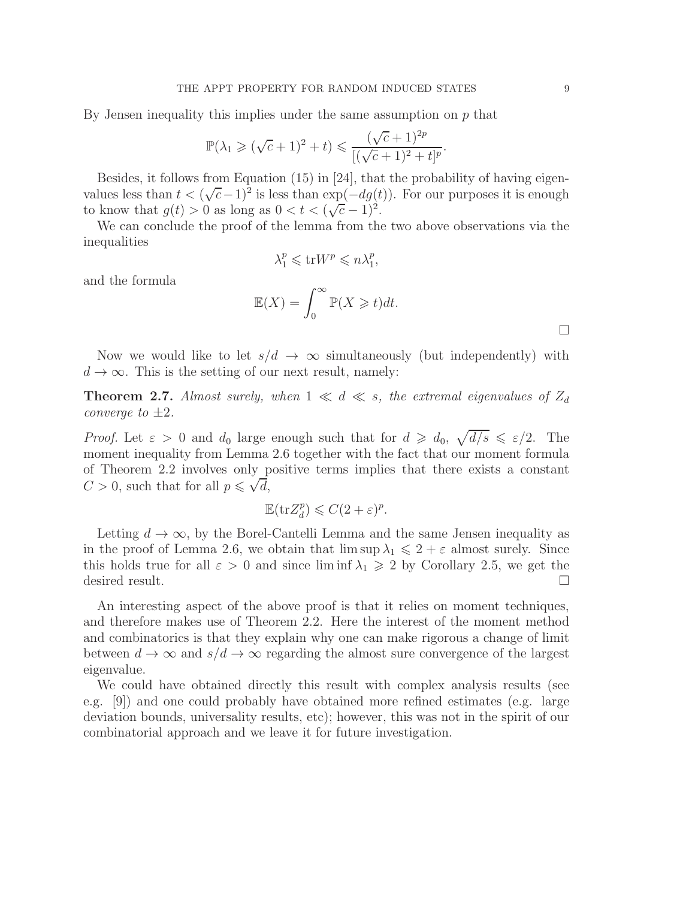By Jensen inequality this implies under the same assumption on  $p$  that

$$
\mathbb{P}(\lambda_1 \geqslant (\sqrt{c}+1)^2 + t) \leqslant \frac{(\sqrt{c}+1)^{2p}}{[(\sqrt{c}+1)^2 + t]^p}.
$$

Besides, it follows from Equation (15) in [24], that the probability of having eigenvalues less than  $t < (\sqrt{c}-1)^2$  is less than  $\exp(-dg(t))$ . For our purposes it is enough to know that  $g(t) > 0$  as long as  $0 < t < (\sqrt{c} - 1)^2$ .

We can conclude the proof of the lemma from the two above observations via the inequalities

$$
\lambda_1^p \leqslant \text{tr} W^p \leqslant n \lambda_1^p,
$$

and the formula

$$
\mathbb{E}(X) = \int_0^\infty \mathbb{P}(X \geq t) dt.
$$

Now we would like to let  $s/d \to \infty$  simultaneously (but independently) with  $d \to \infty$ . This is the setting of our next result, namely:

**Theorem 2.7.** Almost surely, when  $1 \ll d \ll s$ , the extremal eigenvalues of  $Z_d$ converge to  $\pm 2$ .

*Proof.* Let  $\varepsilon > 0$  and  $d_0$  large enough such that for  $d \geq d_0$ ,  $\sqrt{d/s} \leq \varepsilon/2$ . The moment inequality from Lemma 2.6 together with the fact that our moment formula of Theorem 2.2 involves only positive terms implies that there exists a constant  $C > 0$ , such that for all  $p \leq \sqrt{d}$ ,

$$
\mathbb{E}(\mathrm{tr}Z_d^p) \leqslant C(2+\varepsilon)^p.
$$

Letting  $d \to \infty$ , by the Borel-Cantelli Lemma and the same Jensen inequality as in the proof of Lemma 2.6, we obtain that  $\limsup \lambda_1 \leq 2 + \varepsilon$  almost surely. Since this holds true for all  $\varepsilon > 0$  and since liminf  $\lambda_1 \geq 2$  by Corollary 2.5, we get the desired result.

An interesting aspect of the above proof is that it relies on moment techniques, and therefore makes use of Theorem 2.2. Here the interest of the moment method and combinatorics is that they explain why one can make rigorous a change of limit between  $d \to \infty$  and  $s/d \to \infty$  regarding the almost sure convergence of the largest eigenvalue.

We could have obtained directly this result with complex analysis results (see e.g. [9]) and one could probably have obtained more refined estimates (e.g. large deviation bounds, universality results, etc); however, this was not in the spirit of our combinatorial approach and we leave it for future investigation.

 $\Box$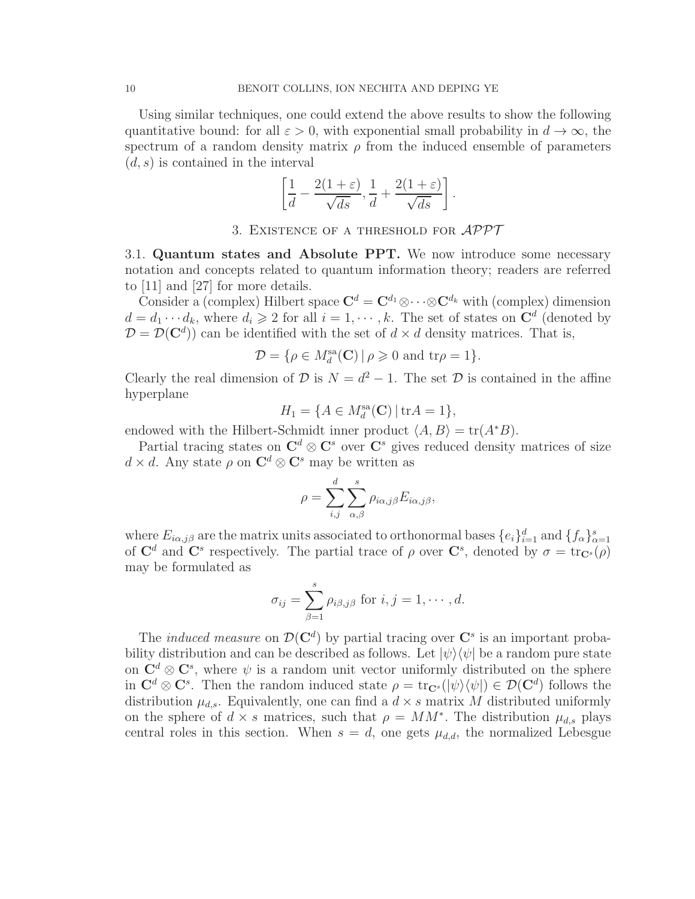Using similar techniques, one could extend the above results to show the following quantitative bound: for all  $\varepsilon > 0$ , with exponential small probability in  $d \to \infty$ , the spectrum of a random density matrix  $\rho$  from the induced ensemble of parameters  $(d, s)$  is contained in the interval

$$
\left[\frac{1}{d} - \frac{2(1+\varepsilon)}{\sqrt{ds}}, \frac{1}{d} + \frac{2(1+\varepsilon)}{\sqrt{ds}}\right].
$$

3. EXISTENCE OF A THRESHOLD FOR  $\mathcal{APPT}$ 

3.1. Quantum states and Absolute PPT. We now introduce some necessary notation and concepts related to quantum information theory; readers are referred to [11] and [27] for more details.

Consider a (complex) Hilbert space  $\mathbf{C}^d = \mathbf{C}^{d_1} \otimes \cdots \otimes \mathbf{C}^{d_k}$  with (complex) dimension  $d = d_1 \cdots d_k$ , where  $d_i \geqslant 2$  for all  $i = 1, \cdots, k$ . The set of states on  $\mathbb{C}^d$  (denoted by  $\mathcal{D} = \mathcal{D}(\mathbf{C}^d)$  can be identified with the set of  $d \times d$  density matrices. That is,

$$
\mathcal{D} = \{ \rho \in M_d^{\text{sa}}(\mathbf{C}) \, | \, \rho \geq 0 \text{ and } \text{tr}\rho = 1 \}.
$$

Clearly the real dimension of  $D$  is  $N = d^2 - 1$ . The set  $D$  is contained in the affine hyperplane

$$
H_1 = \{ A \in M_d^{\text{sa}}(\mathbf{C}) \, | \, \text{tr}A = 1 \},
$$

endowed with the Hilbert-Schmidt inner product  $\langle A, B \rangle = \text{tr}(A^*B)$ .

Partial tracing states on  $\mathbb{C}^d \otimes \mathbb{C}^s$  over  $\mathbb{C}^s$  gives reduced density matrices of size  $d \times d$ . Any state  $\rho$  on  $\mathbb{C}^d \otimes \mathbb{C}^s$  may be written as

$$
\rho = \sum_{i,j}^{d} \sum_{\alpha,\beta}^{s} \rho_{i\alpha,j\beta} E_{i\alpha,j\beta},
$$

where  $E_{i\alpha,j\beta}$  are the matrix units associated to orthonormal bases  $\{e_i\}_{i=1}^d$  and  $\{f_\alpha\}_{\alpha=1}^s$ of  $\mathbf{C}^d$  and  $\mathbf{C}^s$  respectively. The partial trace of  $\rho$  over  $\mathbf{C}^s$ , denoted by  $\sigma = \text{tr}_{\mathbf{C}^s}(\rho)$ may be formulated as

$$
\sigma_{ij} = \sum_{\beta=1}^s \rho_{i\beta,j\beta} \text{ for } i,j=1,\cdots,d.
$$

The *induced measure* on  $\mathcal{D}(\mathbf{C}^d)$  by partial tracing over  $\mathbf{C}^s$  is an important probability distribution and can be described as follows. Let  $|\psi\rangle\langle\psi|$  be a random pure state on  $\mathbb{C}^d \otimes \mathbb{C}^s$ , where  $\psi$  is a random unit vector uniformly distributed on the sphere in  $\mathbf{C}^d \otimes \mathbf{C}^s$ . Then the random induced state  $\rho = \text{tr}_{\mathbf{C}^s}(|\psi\rangle\langle\psi|) \in \mathcal{D}(\mathbf{C}^d)$  follows the distribution  $\mu_{d,s}$ . Equivalently, one can find a  $d \times s$  matrix M distributed uniformly on the sphere of  $d \times s$  matrices, such that  $\rho = MM^*$ . The distribution  $\mu_{d,s}$  plays central roles in this section. When  $s = d$ , one gets  $\mu_{d,d}$ , the normalized Lebesgue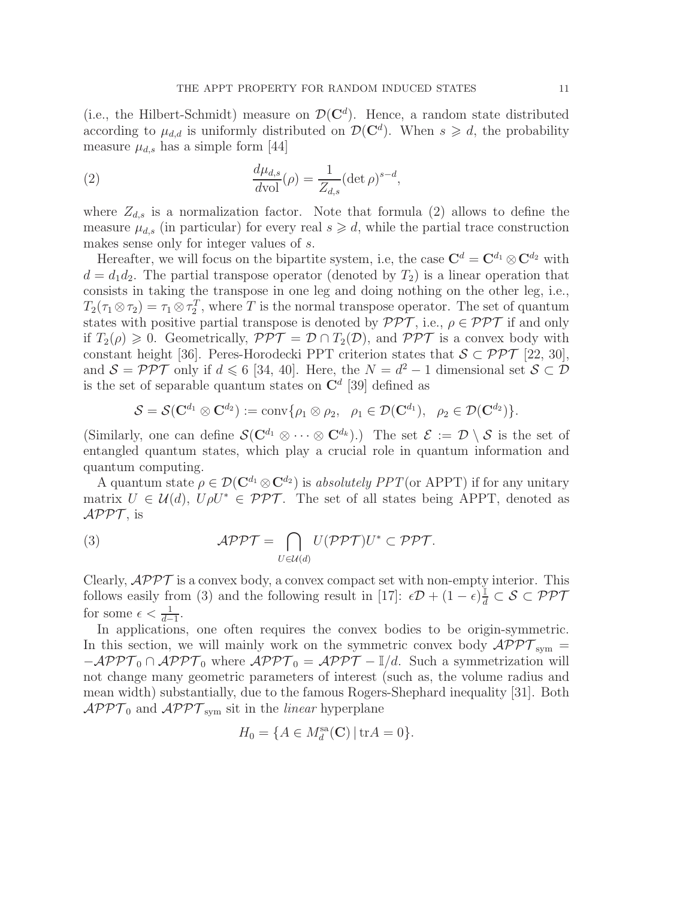(i.e., the Hilbert-Schmidt) measure on  $\mathcal{D}(\mathbf{C}^d)$ . Hence, a random state distributed according to  $\mu_{d,d}$  is uniformly distributed on  $\mathcal{D}(\mathbf{C}^d)$ . When  $s \geq d$ , the probability measure  $\mu_{d,s}$  has a simple form [44]

(2) 
$$
\frac{d\mu_{d,s}}{d\text{vol}}(\rho) = \frac{1}{Z_{d,s}} (\det \rho)^{s-d},
$$

where  $Z_{d,s}$  is a normalization factor. Note that formula (2) allows to define the measure  $\mu_{d,s}$  (in particular) for every real  $s \geq d$ , while the partial trace construction makes sense only for integer values of s.

Hereafter, we will focus on the bipartite system, i.e, the case  $\mathbf{C}^d = \mathbf{C}^{d_1} \otimes \mathbf{C}^{d_2}$  with  $d = d_1 d_2$ . The partial transpose operator (denoted by  $T_2$ ) is a linear operation that consists in taking the transpose in one leg and doing nothing on the other leg, i.e.,  $T_2(\tau_1 \otimes \tau_2) = \tau_1 \otimes \tau_2^T$ , where T is the normal transpose operator. The set of quantum states with positive partial transpose is denoted by  $\mathcal{PPT}$ , i.e.,  $\rho \in \mathcal{PPT}$  if and only if  $T_2(\rho) \geq 0$ . Geometrically,  $\mathcal{PPT} = \mathcal{D} \cap T_2(\mathcal{D})$ , and  $\mathcal{PPT}$  is a convex body with constant height [36]. Peres-Horodecki PPT criterion states that  $S \subset \mathcal{PPT}$  [22, 30], and  $S = \mathcal{PPT}$  only if  $d \le 6$  [34, 40]. Here, the  $N = d^2 - 1$  dimensional set  $S \subset \mathcal{D}$ is the set of separable quantum states on  $\mathbb{C}^d$  [39] defined as

$$
\mathcal{S}=\mathcal{S}(\mathbf{C}^{d_1}\otimes\mathbf{C}^{d_2}):=\text{conv}\{\rho_1\otimes\rho_2,\;\;\rho_1\in\mathcal{D}(\mathbf{C}^{d_1}),\;\;\rho_2\in\mathcal{D}(\mathbf{C}^{d_2})\}.
$$

(Similarly, one can define  $\mathcal{S}(\mathbf{C}^{d_1} \otimes \cdots \otimes \mathbf{C}^{d_k})$ .) The set  $\mathcal{E} := \mathcal{D} \setminus \mathcal{S}$  is the set of entangled quantum states, which play a crucial role in quantum information and quantum computing.

A quantum state  $\rho \in \mathcal{D}(\mathbf{C}^{d_1} \otimes \mathbf{C}^{d_2})$  is absolutely PPT(or APPT) if for any unitary matrix  $U \in \mathcal{U}(d)$ ,  $U\rho U^* \in \mathcal{PPT}$ . The set of all states being APPT, denoted as  $\mathcal{APPT}$ , is

(3) 
$$
\mathcal{APPT} = \bigcap_{U \in \mathcal{U}(d)} U(\mathcal{PPT})U^* \subset \mathcal{PPT}.
$$

Clearly,  $\mathcal{APPT}$  is a convex body, a convex compact set with non-empty interior. This follows easily from (3) and the following result in [17]:  $\epsilon \mathcal{D} + (1 - \epsilon) \frac{1}{d} \subset \mathcal{S} \subset \mathcal{PPT}$ for some  $\epsilon < \frac{1}{d-1}$ .

In applications, one often requires the convex bodies to be origin-symmetric. In this section, we will mainly work on the symmetric convex body  $\mathcal{APPT}_{sym} =$  $-\mathcal{APPT}_0 \cap \mathcal{APPT}_0$  where  $\mathcal{APPT}_0 = \mathcal{APPT} - \mathbb{I}/d$ . Such a symmetrization will not change many geometric parameters of interest (such as, the volume radius and mean width) substantially, due to the famous Rogers-Shephard inequality [31]. Both  $\mathcal{APPT}_0$  and  $\mathcal{APPT}_{sym}$  sit in the *linear* hyperplane

$$
H_0 = \{A \in M_d^{\text{sa}}(\mathbf{C}) \, | \, \text{tr}A = 0\}.
$$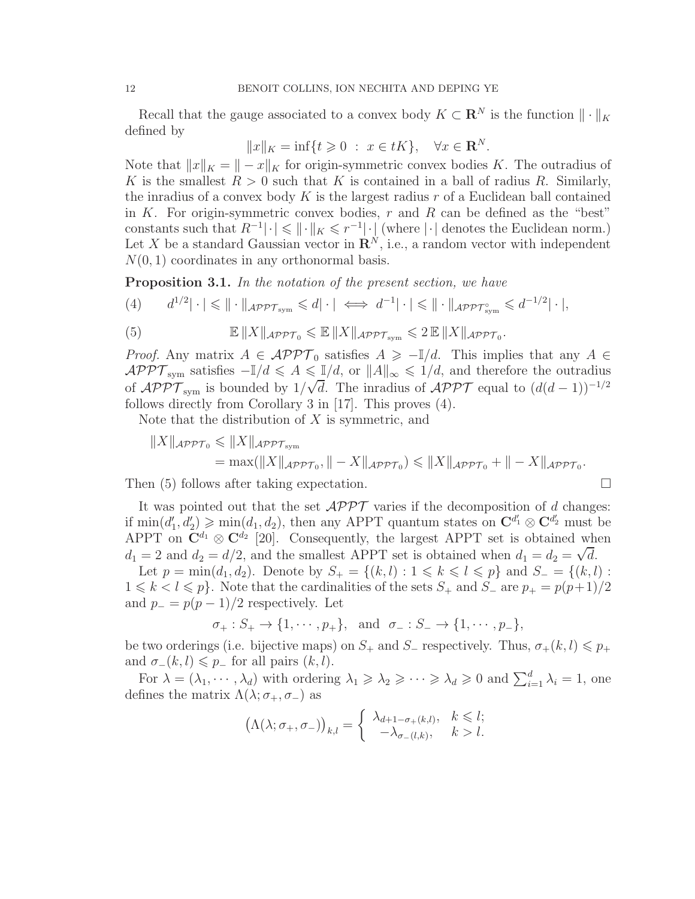Recall that the gauge associated to a convex body  $K \subset \mathbb{R}^N$  is the function  $\|\cdot\|_K$ defined by

$$
||x||_K = \inf\{t \ge 0 \; : \; x \in tK\}, \quad \forall x \in \mathbf{R}^N.
$$

Note that  $||x||_K = || - x||_K$  for origin-symmetric convex bodies K. The outradius of K is the smallest  $R > 0$  such that K is contained in a ball of radius R. Similarly, the inradius of a convex body K is the largest radius  $r$  of a Euclidean ball contained in K. For origin-symmetric convex bodies,  $r$  and  $R$  can be defined as the "best" constants such that  $R^{-1}|\cdot| \leqslant ||\cdot||_K \leqslant r^{-1}|\cdot|$  (where  $|\cdot|$  denotes the Euclidean norm.) Let X be a standard Gaussian vector in  $\mathbb{R}^N$ , i.e., a random vector with independent  $N(0, 1)$  coordinates in any orthonormal basis.

**Proposition 3.1.** In the notation of the present section, we have

$$
(4) \qquad d^{1/2}|\cdot| \leq \|\cdot\|_{\mathcal{APPT}_{sym}} \leq d|\cdot| \iff d^{-1}|\cdot| \leq \|\cdot\|_{\mathcal{APPT}_{sym}^{\circ}} \leq d^{-1/2}|\cdot|,
$$

(5) 
$$
\mathbb{E} \|X\|_{\mathcal{APPT}_0} \leq \mathbb{E} \|X\|_{\mathcal{APPT}_{sym}} \leq 2 \mathbb{E} \|X\|_{\mathcal{APPT}_0}.
$$

*Proof.* Any matrix  $A \in \mathcal{APPT}_0$  satisfies  $A \geq -\mathbb{I}/d$ . This implies that any  $A \in$  $\mathcal{APPT}_{sym}$  satisfies  $-\mathbb{I}/d \leqslant A \leqslant \mathbb{I}/d$ , or  $||A||_{\infty} \leqslant 1/d$ , and therefore the outradius of  $\mathcal{APPT}_{sym}$  is bounded by  $1/\sqrt{d}$ . The inradius of  $\mathcal{APPT}$  equal to  $(d(d-1))^{-1/2}$ follows directly from Corollary 3 in [17]. This proves (4).

Note that the distribution of  $X$  is symmetric, and

$$
||X||_{\mathcal{A}P\mathcal{P}\mathcal{T}_0} \le ||X||_{\mathcal{A}P\mathcal{P}\mathcal{T}_{sym}} = \max(||X||_{\mathcal{A}P\mathcal{P}\mathcal{T}_0}, ||-X||_{\mathcal{A}P\mathcal{P}\mathcal{T}_0}) \le ||X||_{\mathcal{A}P\mathcal{P}\mathcal{T}_0} + ||-X||_{\mathcal{A}P\mathcal{P}\mathcal{T}_0}.
$$

Then (5) follows after taking expectation.

It was pointed out that the set  $\mathcal{APPT}$  varies if the decomposition of d changes: if  $\min(d'_1, d'_2) \geqslant \min(d_1, d_2)$ , then any APPT quantum states on  $\mathbb{C}^{d'_1} \otimes \mathbb{C}^{d'_2}$  must be APPT on  $\mathbf{C}^{d_1} \otimes \mathbf{C}^{d_2}$  [20]. Consequently, the largest APPT set is obtained when  $d_1 = 2$  and  $d_2 = d/2$ , and the smallest APPT set is obtained when  $d_1 = d_2 = \sqrt{d}$ .

Let  $p = \min(d_1, d_2)$ . Denote by  $S_+ = \{(k, l) : 1 \leq k \leq l \leq p\}$  and  $S_- = \{(k, l) : 1 \leq k \leq l \leq p\}$  $1 \leq k < l \leq p$ . Note that the cardinalities of the sets  $S_+$  and  $S_-$  are  $p_+ = p(p+1)/2$ and  $p_-=p(p-1)/2$  respectively. Let

$$
\sigma_+ : S_+ \to \{1, \cdots, p_+\}, \text{ and } \sigma_- : S_- \to \{1, \cdots, p_-\},
$$

be two orderings (i.e. bijective maps) on  $S_+$  and  $S_-$  respectively. Thus,  $\sigma_+(k,l) \leq p_+$ and  $\sigma_-(k,l) \leq \rho_-$  for all pairs  $(k,l)$ .

For  $\lambda = (\lambda_1, \dots, \lambda_d)$  with ordering  $\lambda_1 \geq \lambda_2 \geq \dots \geq \lambda_d \geq 0$  and  $\sum_{i=1}^d \lambda_i = 1$ , one defines the matrix  $\Lambda(\lambda; \sigma_+, \sigma_-)$  as

$$
(\Lambda(\lambda; \sigma_+, \sigma_-))_{k,l} = \begin{cases} \lambda_{d+1-\sigma_+(k,l)}, & k \leq l; \\ -\lambda_{\sigma_-(l,k)}, & k > l. \end{cases}
$$

$$
\Box
$$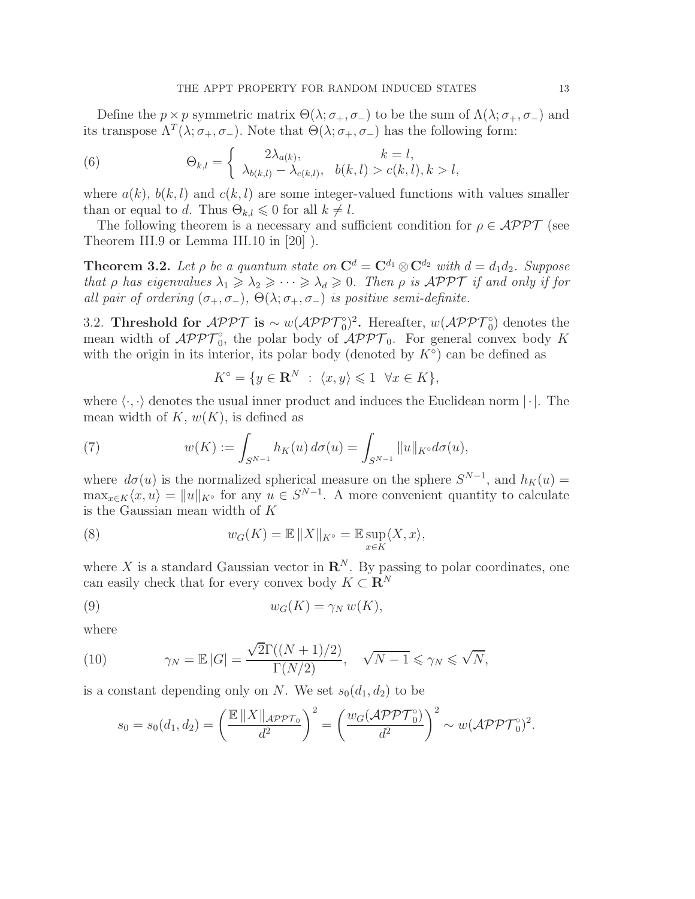Define the  $p \times p$  symmetric matrix  $\Theta(\lambda; \sigma_+, \sigma_-)$  to be the sum of  $\Lambda(\lambda; \sigma_+, \sigma_-)$  and its transpose  $\Lambda^T(\lambda; \sigma_+, \sigma_-)$ . Note that  $\Theta(\lambda; \sigma_+, \sigma_-)$  has the following form:

(6) 
$$
\Theta_{k,l} = \begin{cases} 2\lambda_{a(k)}, & k = l, \\ \lambda_{b(k,l)} - \lambda_{c(k,l)}, & b(k,l) > c(k,l), k > l, \end{cases}
$$

where  $a(k)$ ,  $b(k, l)$  and  $c(k, l)$  are some integer-valued functions with values smaller than or equal to d. Thus  $\Theta_{k,l} \leq 0$  for all  $k \neq l$ .

The following theorem is a necessary and sufficient condition for  $\rho \in \mathcal{APPT}$  (see Theorem III.9 or Lemma III.10 in [20] ).

**Theorem 3.2.** Let  $\rho$  be a quantum state on  $\mathbf{C}^d = \mathbf{C}^{d_1} \otimes \mathbf{C}^{d_2}$  with  $d = d_1 d_2$ . Suppose that ρ has eigenvalues  $\lambda_1 \geq \lambda_2 \geq \cdots \geq \lambda_d \geq 0$ . Then ρ is APPT if and only if for all pair of ordering  $(\sigma_+, \sigma_-)$ ,  $\Theta(\lambda; \sigma_+, \sigma_-)$  is positive semi-definite.

3.2. Threshold for  $\mathcal{APPT}$  is ~  $w(\mathcal{APPT}_0^{\circ})^2$ . Hereafter,  $w(\mathcal{APPT}_0^{\circ})$  denotes the mean width of  $\mathcal{APPT}_0^{\circ}$ , the polar body of  $\mathcal{APPT}_0$ . For general convex body K with the origin in its interior, its polar body (denoted by  $K^{\circ}$ ) can be defined as

$$
K^{\circ} = \{ y \in \mathbf{R}^{N} : \langle x, y \rangle \leq 1 \ \forall x \in K \},
$$

where  $\langle \cdot, \cdot \rangle$  denotes the usual inner product and induces the Euclidean norm  $|\cdot|$ . The mean width of  $K, w(K)$ , is defined as

(7) 
$$
w(K) := \int_{S^{N-1}} h_K(u) d\sigma(u) = \int_{S^{N-1}} ||u||_{K^{\circ}} d\sigma(u),
$$

where  $d\sigma(u)$  is the normalized spherical measure on the sphere  $S^{N-1}$ , and  $h_K(u) =$  $\max_{x \in K} \langle x, u \rangle = ||u||_{K^{\circ}}$  for any  $u \in S^{N-1}$ . A more convenient quantity to calculate is the Gaussian mean width of K

(8) 
$$
w_G(K) = \mathbb{E} ||X||_{K^{\circ}} = \mathbb{E} \sup_{x \in K} \langle X, x \rangle,
$$

where X is a standard Gaussian vector in  $\mathbb{R}^N$ . By passing to polar coordinates, one can easily check that for every convex body  $K \subset \mathbb{R}^N$ 

(9) 
$$
w_G(K) = \gamma_N w(K),
$$

where

(10) 
$$
\gamma_N = \mathbb{E} |G| = \frac{\sqrt{2}\Gamma((N+1)/2)}{\Gamma(N/2)}, \quad \sqrt{N-1} \leq \gamma_N \leq \sqrt{N},
$$

is a constant depending only on N. We set  $s_0(d_1, d_2)$  to be

$$
s_0 = s_0(d_1, d_2) = \left(\frac{\mathbb{E} ||X||_{\mathcal{APPT}_0}}{d^2}\right)^2 = \left(\frac{w_G(\mathcal{APPT}_0)}{d^2}\right)^2 \sim w(\mathcal{APPT}_0)^2.
$$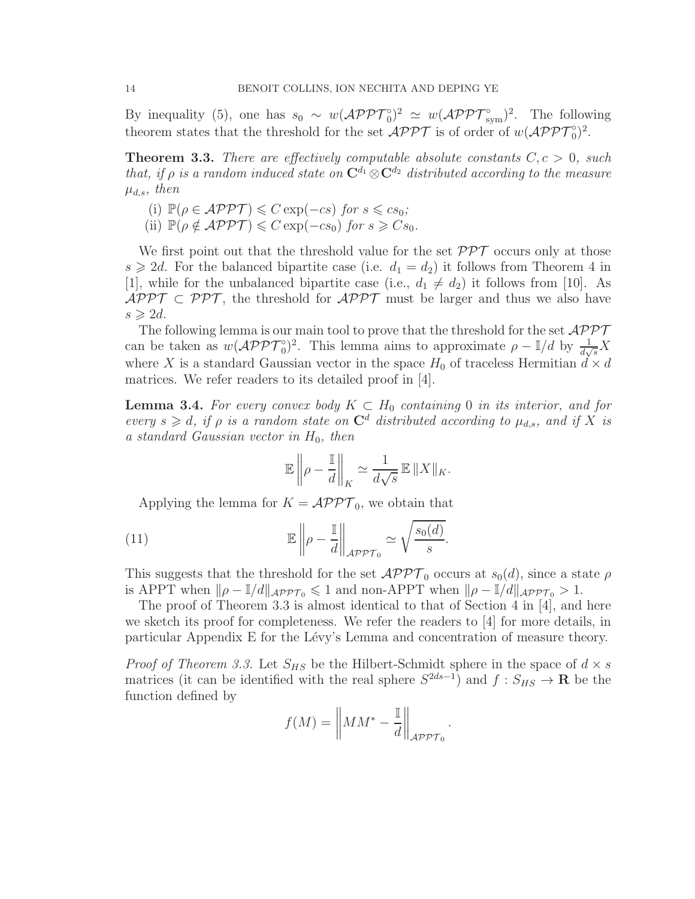By inequality (5), one has  $s_0 \sim w(\mathcal{APPT}_0^{\circ})^2 \simeq w(\mathcal{APPT}_{sym}^{\circ})^2$ . The following theorem states that the threshold for the set  $\mathcal{APPT}$  is of order of  $w(\mathcal{APPT}_0^{\circ})^2$ .

**Theorem 3.3.** There are effectively computable absolute constants  $C, c > 0$ , such that, if  $\rho$  is a random induced state on  $\mathbb{C}^{d_1} \otimes \mathbb{C}^{d_2}$  distributed according to the measure  $\mu_{d,s}$ , then

(i)  $\mathbb{P}(\rho \in \mathcal{APPT}) \leq C \exp(-cs)$  for  $s \leq c s_0$ ; (ii)  $\mathbb{P}(\rho \notin \mathcal{APPT}) \leq C \exp(-cs_0)$  for  $s \geq Cs_0$ .

We first point out that the threshold value for the set  $\mathcal{PPT}$  occurs only at those  $s \geq 2d$ . For the balanced bipartite case (i.e.  $d_1 = d_2$ ) it follows from Theorem 4 in [1], while for the unbalanced bipartite case (i.e.,  $d_1 \neq d_2$ ) it follows from [10]. As  $\mathcal{APPT} \subset \mathcal{PPT}$ , the threshold for  $\mathcal{APPT}$  must be larger and thus we also have  $s \geqslant 2d$ .

The following lemma is our main tool to prove that the threshold for the set  $\mathcal{APPT}$ can be taken as  $w(\mathcal{APPT}_0^{\circ})^2$ . This lemma aims to approximate  $\rho - \mathbb{I}/d$  by  $\frac{1}{d\sqrt{s}}X$ where X is a standard Gaussian vector in the space  $H_0$  of traceless Hermitian  $d \times d$ matrices. We refer readers to its detailed proof in [4].

**Lemma 3.4.** For every convex body  $K \subset H_0$  containing 0 in its interior, and for every  $s \geq d$ , if  $\rho$  is a random state on  $\mathbb{C}^d$  distributed according to  $\mu_{d,s}$ , and if X is a standard Gaussian vector in  $H_0$ , then

$$
\mathbb{E}\left\|\rho - \frac{\mathbb{I}}{d}\right\|_K \simeq \frac{1}{d\sqrt{s}} \mathbb{E}\left\|X\right\|_K.
$$

Applying the lemma for  $K = \mathcal{APPT}_0$ , we obtain that

(11) 
$$
\mathbb{E}\left\|\rho - \frac{\mathbb{I}}{d}\right\|_{\mathcal{APPT}_0} \simeq \sqrt{\frac{s_0(d)}{s}}.
$$

This suggests that the threshold for the set  $\mathcal{APPT}_0$  occurs at  $s_0(d)$ , since a state  $\rho$ is APPT when  $\|\rho - \mathbb{I}/d\|_{\mathcal{APPT}_0} \leq 1$  and non-APPT when  $\|\rho - \mathbb{I}/d\|_{\mathcal{APPT}_0} > 1$ .

The proof of Theorem 3.3 is almost identical to that of Section 4 in [4], and here we sketch its proof for completeness. We refer the readers to [4] for more details, in particular Appendix E for the Lévy's Lemma and concentration of measure theory.

*Proof of Theorem 3.3.* Let  $S_{HS}$  be the Hilbert-Schmidt sphere in the space of  $d \times s$ matrices (it can be identified with the real sphere  $S^{2ds-1}$ ) and  $f: S_{HS} \to \mathbf{R}$  be the function defined by

$$
f(M) = \left\| MM^* - \frac{1}{d} \right\|_{\mathcal{APPT}_0}
$$

.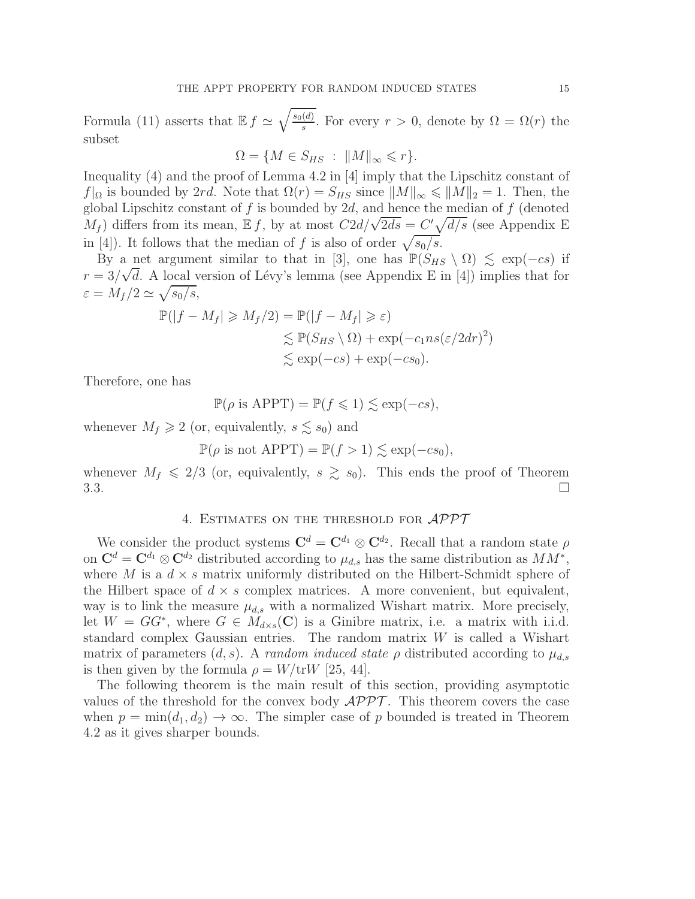Formula (11) asserts that  $\mathbb{E} f \simeq \sqrt{\frac{s_0(d)}{s}}$  $\frac{a}{s}$ . For every  $r > 0$ , denote by  $\Omega = \Omega(r)$  the subset

$$
\Omega = \{ M \in S_{HS} : ||M||_{\infty} \leqslant r \}.
$$

Inequality (4) and the proof of Lemma 4.2 in [4] imply that the Lipschitz constant of  $f|_{\Omega}$  is bounded by 2rd. Note that  $\Omega(r) = S_{HS}$  since  $||M||_{\infty} \leq ||M||_2 = 1$ . Then, the global Lipschitz constant of  $f$  is bounded by  $2d$ , and hence the median of  $f$  (denoted  $M_f$ ) differs from its mean,  $E f$ , by at most  $C2d/\sqrt{2ds} = C'\sqrt{d/s}$  (see Appendix E in [4]). It follows that the median of f is also of order  $\sqrt{s_0/s}$ .

By a net argument similar to that in [3], one has  $\mathbb{P}(S_{HS} \setminus \Omega) \leq \exp(-cs)$  if  $r = 3/\sqrt{d}$ . A local version of Lévy's lemma (see Appendix E in [4]) implies that for  $\varepsilon = M_f/2 \simeq \sqrt{s_0/s},$ 

$$
\mathbb{P}(|f - M_f| \ge M_f/2) = \mathbb{P}(|f - M_f| \ge \varepsilon)
$$
  
\$\lesssim \mathbb{P}(S\_{HS} \setminus \Omega) + \exp(-c\_1 n s (\varepsilon / 2 dr)^2)\$  
\$\lesssim \exp(-cs) + \exp(-cs\_0).

Therefore, one has

$$
\mathbb{P}(\rho \text{ is APPT}) = \mathbb{P}(f \leq 1) \lesssim \exp(-cs),
$$

whenever  $M_f \geq 2$  (or, equivalently,  $s \lesssim s_0$ ) and

$$
\mathbb{P}(\rho \text{ is not APPT}) = \mathbb{P}(f > 1) \lesssim \exp(-cs_0),
$$

whenever  $M_f \leq 2/3$  (or, equivalently,  $s \geq s_0$ ). This ends the proof of Theorem  $3.3.$ 

## 4. Estimates on the threshold for APPT

We consider the product systems  $\mathbf{C}^d = \mathbf{C}^{d_1} \otimes \mathbf{C}^{d_2}$ . Recall that a random state  $\rho$ on  $\mathbf{C}^d = \mathbf{C}^{d_1} \otimes \mathbf{C}^{d_2}$  distributed according to  $\mu_{d,s}$  has the same distribution as  $MM^*$ , where M is a  $d \times s$  matrix uniformly distributed on the Hilbert-Schmidt sphere of the Hilbert space of  $d \times s$  complex matrices. A more convenient, but equivalent, way is to link the measure  $\mu_{d,s}$  with a normalized Wishart matrix. More precisely, let  $W = GG^*$ , where  $G \in M_{d\times s}(\mathbf{C})$  is a Ginibre matrix, i.e. a matrix with i.i.d. standard complex Gaussian entries. The random matrix W is called a Wishart matrix of parameters  $(d, s)$ . A random induced state  $\rho$  distributed according to  $\mu_{d,s}$ is then given by the formula  $\rho = W/\text{tr}W$  [25, 44].

The following theorem is the main result of this section, providing asymptotic values of the threshold for the convex body  $\mathcal{APPT}$ . This theorem covers the case when  $p = min(d_1, d_2) \rightarrow \infty$ . The simpler case of p bounded is treated in Theorem 4.2 as it gives sharper bounds.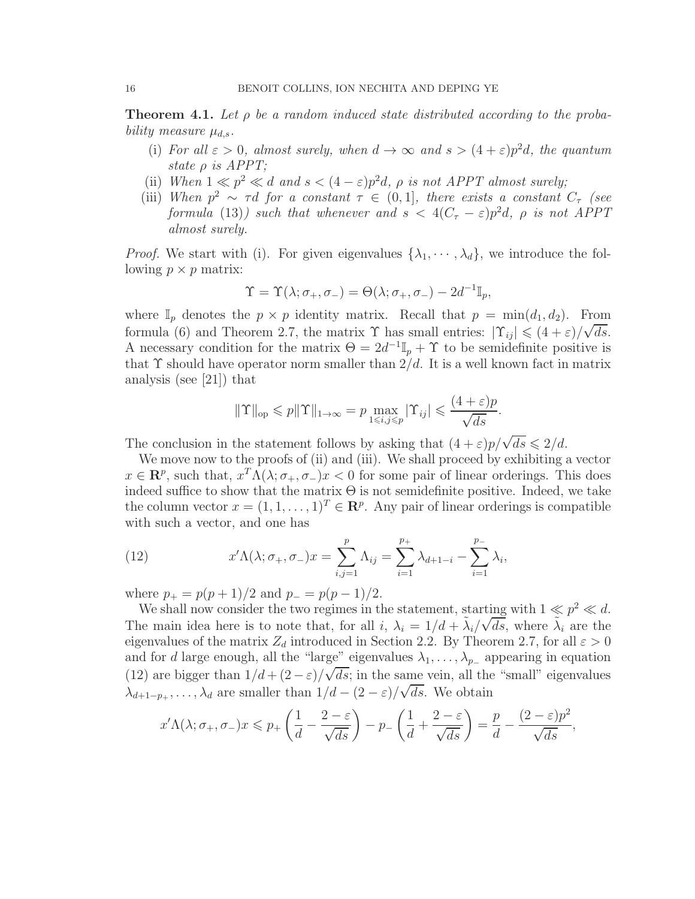**Theorem 4.1.** Let  $\rho$  be a random induced state distributed according to the probability measure  $\mu_{d,s}$ .

- (i) For all  $\varepsilon > 0$ , almost surely, when  $d \to \infty$  and  $s > (4 + \varepsilon)p^2d$ , the quantum state  $\rho$  is APPT;
- (ii) When  $1 \ll p^2 \ll d$  and  $s < (4 \varepsilon)p^2d$ ,  $\rho$  is not APPT almost surely;
- (iii) When  $p^2 \sim \tau d$  for a constant  $\tau \in (0, 1]$ , there exists a constant  $C_{\tau}$  (see formula (13)) such that whenever and  $s < 4(C_{\tau} - \varepsilon)p^2d$ ,  $\rho$  is not APPT almost surely.

*Proof.* We start with (i). For given eigenvalues  $\{\lambda_1, \dots, \lambda_d\}$ , we introduce the following  $p \times p$  matrix:

$$
\Upsilon = \Upsilon(\lambda; \sigma_+, \sigma_-) = \Theta(\lambda; \sigma_+, \sigma_-) - 2d^{-1} \mathbb{I}_p,
$$

where  $\mathbb{I}_p$  denotes the  $p \times p$  identity matrix. Recall that  $p = \min(d_1, d_2)$ . From formula (6) and Theorem 2.7, the matrix  $\Upsilon$  has small entries:  $|\Upsilon_{ij}| \leq (4 + \varepsilon)/\sqrt{ds}$ . A necessary condition for the matrix  $\Theta = 2d^{-1}\mathbb{I}_p + \Upsilon$  to be semidefinite positive is that  $\Upsilon$  should have operator norm smaller than  $2/d$ . It is a well known fact in matrix analysis (see [21]) that

$$
\|\Upsilon\|_{\text{op}} \leqslant p\|\Upsilon\|_{1\to\infty} = p \max_{1\leqslant i,j\leqslant p}|\Upsilon_{ij}| \leqslant \frac{(4+\varepsilon)p}{\sqrt{ds}}.
$$

The conclusion in the statement follows by asking that  $(4 + \varepsilon)p/\sqrt{ds} \leq 2/d$ .

We move now to the proofs of (ii) and (iii). We shall proceed by exhibiting a vector  $x \in \mathbb{R}^p$ , such that,  $x^T \Lambda(\lambda; \sigma_+, \sigma_-) x < 0$  for some pair of linear orderings. This does indeed suffice to show that the matrix  $\Theta$  is not semidefinite positive. Indeed, we take the column vector  $x = (1, 1, \ldots, 1)^T \in \mathbb{R}^p$ . Any pair of linear orderings is compatible with such a vector, and one has

(12) 
$$
x'\Lambda(\lambda; \sigma_+, \sigma_-)x = \sum_{i,j=1}^p \Lambda_{ij} = \sum_{i=1}^{p_+} \lambda_{d+1-i} - \sum_{i=1}^{p_-} \lambda_i,
$$

where  $p_+ = p(p+1)/2$  and  $p_- = p(p-1)/2$ .

We shall now consider the two regimes in the statement, starting with  $1 \nleq p^2 \nleq d$ . The main idea here is to note that, for all  $i$ ,  $\lambda_i = 1/d + \tilde{\lambda}_i/\sqrt{ds}$ , where  $\tilde{\lambda}_i$  are the eigenvalues of the matrix  $Z_d$  introduced in Section 2.2. By Theorem 2.7, for all  $\varepsilon > 0$ and for d large enough, all the "large" eigenvalues  $\lambda_1, \ldots, \lambda_{p-1}$  appearing in equation (12) are bigger than  $1/d + (2 - \varepsilon)/\sqrt{ds}$ ; in the same vein, all the "small" eigenvalues  $\lambda_{d+1-p_+}, \ldots, \lambda_d$  are smaller than  $1/d - (2 - \varepsilon)/\sqrt{ds}$ . We obtain

$$
x'\Lambda(\lambda;\sigma_+,\sigma_-)x \leq p_+\left(\frac{1}{d}-\frac{2-\varepsilon}{\sqrt{ds}}\right)-p_-\left(\frac{1}{d}+\frac{2-\varepsilon}{\sqrt{ds}}\right)=\frac{p}{d}-\frac{(2-\varepsilon)p^2}{\sqrt{ds}},
$$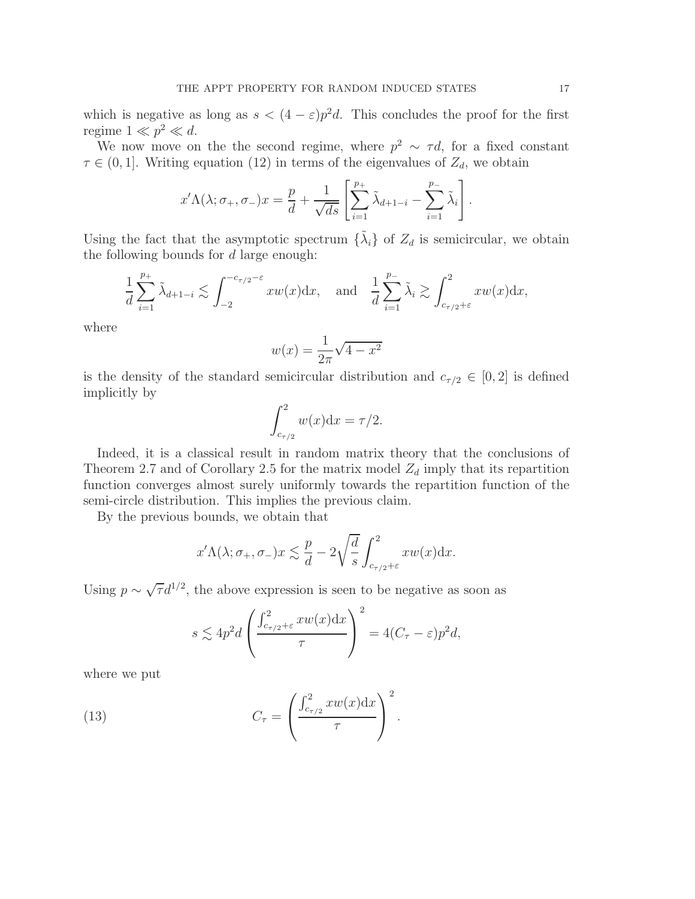which is negative as long as  $s < (4 - \varepsilon)p^2d$ . This concludes the proof for the first regime  $1 \ll p^2 \ll d$ .

We now move on the the second regime, where  $p^2 \sim \tau d$ , for a fixed constant  $\tau \in (0, 1]$ . Writing equation (12) in terms of the eigenvalues of  $Z_d$ , we obtain

$$
x'\Lambda(\lambda;\sigma_+,\sigma_-)x = \frac{p}{d} + \frac{1}{\sqrt{ds}} \left[ \sum_{i=1}^{p_+} \tilde{\lambda}_{d+1-i} - \sum_{i=1}^{p_-} \tilde{\lambda}_i \right].
$$

Using the fact that the asymptotic spectrum  $\{\tilde{\lambda}_i\}$  of  $Z_d$  is semicircular, we obtain the following bounds for  $d$  large enough:

$$
\frac{1}{d} \sum_{i=1}^{p_+} \tilde{\lambda}_{d+1-i} \lesssim \int_{-2}^{-c_{\tau/2}-\varepsilon} x w(x) dx, \text{ and } \frac{1}{d} \sum_{i=1}^{p_-} \tilde{\lambda}_i \gtrsim \int_{c_{\tau/2}+\varepsilon}^{2} x w(x) dx,
$$

where

$$
w(x) = \frac{1}{2\pi}\sqrt{4 - x^2}
$$

is the density of the standard semicircular distribution and  $c_{\tau/2} \in [0,2]$  is defined implicitly by

$$
\int_{c_{\tau/2}}^2 w(x) \mathrm{d}x = \tau/2.
$$

Indeed, it is a classical result in random matrix theory that the conclusions of Theorem 2.7 and of Corollary 2.5 for the matrix model  $Z_d$  imply that its repartition function converges almost surely uniformly towards the repartition function of the semi-circle distribution. This implies the previous claim.

By the previous bounds, we obtain that

$$
x'\Lambda(\lambda;\sigma_+,\sigma_-)x \lesssim \frac{p}{d} - 2\sqrt{\frac{d}{s}} \int_{c_{\tau/2}+\varepsilon}^2 xw(x) \mathrm{d}x.
$$

Using  $p \sim \sqrt{\tau} d^{1/2}$ , the above expression is seen to be negative as soon as

$$
s \lesssim 4p^2 d \left( \frac{\int_{c_{\tau/2} + \varepsilon}^{2} x w(x) dx}{\tau} \right)^2 = 4(C_{\tau} - \varepsilon) p^2 d,
$$

where we put

(13) 
$$
C_{\tau} = \left(\frac{\int_{c_{\tau/2}}^2 x w(x) dx}{\tau}\right)^2.
$$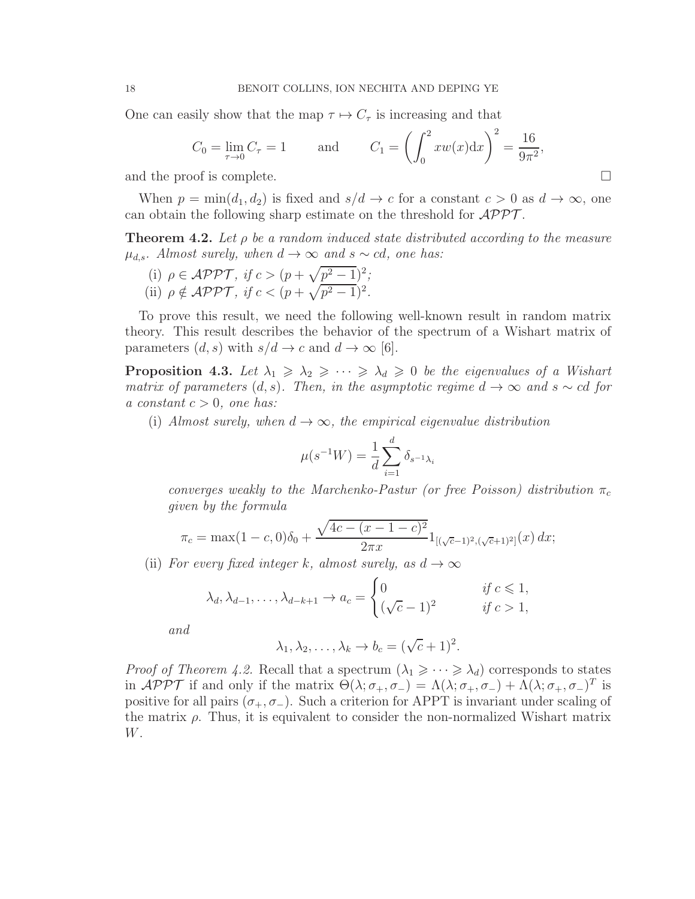One can easily show that the map  $\tau \mapsto C_{\tau}$  is increasing and that

$$
C_0 = \lim_{\tau \to 0} C_\tau = 1
$$
 and  $C_1 = \left(\int_0^2 xw(x)dx\right)^2 = \frac{16}{9\pi^2}$ ,

and the proof is complete.

When  $p = min(d_1, d_2)$  is fixed and  $s/d \rightarrow c$  for a constant  $c > 0$  as  $d \rightarrow \infty$ , one can obtain the following sharp estimate on the threshold for  $\mathcal{APPT}$ .

**Theorem 4.2.** Let  $\rho$  be a random induced state distributed according to the measure  $\mu_{d,s}$ . Almost surely, when  $d \to \infty$  and  $s \sim cd$ , one has:

(i)  $\rho \in \mathcal{APPT}$ , if  $c > (p + \sqrt{p^2 - 1})^2$ ; (ii)  $\rho \notin \mathcal{APPT}$ , if  $c < (p + \sqrt{p^2 - 1})^2$ .

To prove this result, we need the following well-known result in random matrix theory. This result describes the behavior of the spectrum of a Wishart matrix of parameters  $(d, s)$  with  $s/d \rightarrow c$  and  $d \rightarrow \infty$  [6].

**Proposition 4.3.** Let  $\lambda_1 \geq \lambda_2 \geq \cdots \geq \lambda_d \geq 0$  be the eigenvalues of a Wishart matrix of parameters  $(d, s)$ . Then, in the asymptotic regime  $d \rightarrow \infty$  and  $s \sim cd$  for a constant  $c > 0$ , one has:

(i) Almost surely, when  $d \to \infty$ , the empirical eigenvalue distribution

$$
\mu(s^{-1}W) = \frac{1}{d} \sum_{i=1}^{d} \delta_{s^{-1}\lambda_i}
$$

converges weakly to the Marchenko-Pastur (or free Poisson) distribution  $\pi_c$ given by the formula

$$
\pi_c = \max(1 - c, 0)\delta_0 + \frac{\sqrt{4c - (x - 1 - c)^2}}{2\pi x} 1_{[(\sqrt{c} - 1)^2, (\sqrt{c} + 1)^2]}(x) dx;
$$

(ii) For every fixed integer k, almost surely, as  $d \to \infty$ 

$$
\lambda_d, \lambda_{d-1}, \dots, \lambda_{d-k+1} \to a_c = \begin{cases} 0 & \text{if } c \leq 1, \\ (\sqrt{c}-1)^2 & \text{if } c > 1, \end{cases}
$$

and

$$
\lambda_1, \lambda_2, \ldots, \lambda_k \to b_c = (\sqrt{c} + 1)^2.
$$

*Proof of Theorem 4.2.* Recall that a spectrum  $(\lambda_1 \geq \cdots \geq \lambda_d)$  corresponds to states in APPT if and only if the matrix  $\Theta(\lambda; \sigma_+, \sigma_-) = \Lambda(\lambda; \sigma_+, \sigma_-) + \Lambda(\lambda; \sigma_+, \sigma_-)^T$  is positive for all pairs  $(\sigma_+, \sigma_-)$ . Such a criterion for APPT is invariant under scaling of the matrix  $\rho$ . Thus, it is equivalent to consider the non-normalized Wishart matrix W.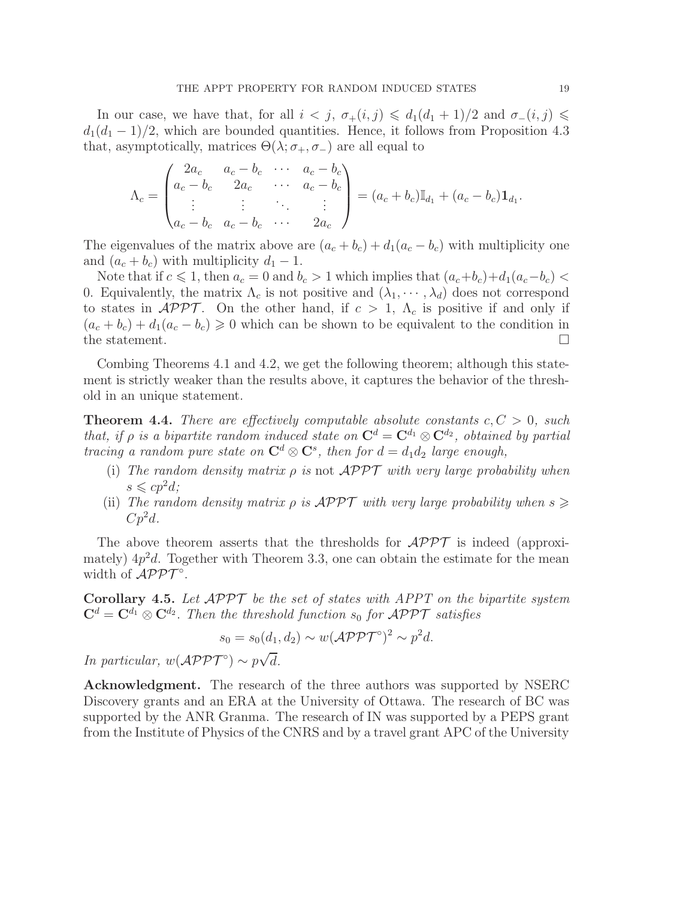In our case, we have that, for all  $i < j$ ,  $\sigma_+(i,j) \leq d_1(d_1+1)/2$  and  $\sigma_-(i,j) \leq$  $d_1(d_1 - 1)/2$ , which are bounded quantities. Hence, it follows from Proposition 4.3 that, asymptotically, matrices  $\Theta(\lambda; \sigma_+, \sigma_-)$  are all equal to

$$
\Lambda_c = \begin{pmatrix} 2a_c & a_c - b_c & \cdots & a_c - b_c \\ a_c - b_c & 2a_c & \cdots & a_c - b_c \\ \vdots & \vdots & \ddots & \vdots \\ a_c - b_c & a_c - b_c & \cdots & 2a_c \end{pmatrix} = (a_c + b_c) \mathbb{I}_{d_1} + (a_c - b_c) \mathbf{1}_{d_1}.
$$

The eigenvalues of the matrix above are  $(a_c + b_c) + d_1(a_c - b_c)$  with multiplicity one and  $(a_c + b_c)$  with multiplicity  $d_1 - 1$ .

Note that if  $c \leq 1$ , then  $a_c = 0$  and  $b_c > 1$  which implies that  $(a_c+b_c)+d_1(a_c-b_c)$ 0. Equivalently, the matrix  $\Lambda_c$  is not positive and  $(\lambda_1, \dots, \lambda_d)$  does not correspond to states in  $\mathcal{APPT}$ . On the other hand, if  $c > 1$ ,  $\Lambda_c$  is positive if and only if  $(a_c + b_c) + d_1(a_c - b_c) \ge 0$  which can be shown to be equivalent to the condition in the statement the statement.

Combing Theorems 4.1 and 4.2, we get the following theorem; although this statement is strictly weaker than the results above, it captures the behavior of the threshold in an unique statement.

**Theorem 4.4.** There are effectively computable absolute constants  $c, C > 0$ , such that, if  $\rho$  is a bipartite random induced state on  $\mathbf{C}^d = \mathbf{C}^{d_1} \otimes \mathbf{C}^{d_2}$ , obtained by partial tracing a random pure state on  $\mathbb{C}^d \otimes \mathbb{C}^s$ , then for  $d = d_1 d_2$  large enough,

- (i) The random density matrix  $\rho$  is not  $\mathcal{APPT}$  with very large probability when  $s \leqslant c p^2 d$ :
- (ii) The random density matrix  $\rho$  is  $\mathcal{APPT}$  with very large probability when  $s \geq$  $Cp^2d$ .

The above theorem asserts that the thresholds for  $\mathcal{APPT}$  is indeed (approximately)  $4p^2d$ . Together with Theorem 3.3, one can obtain the estimate for the mean width of  $\mathcal{APPT}^{\circ}$ .

**Corollary 4.5.** Let  $\mathcal{APPT}$  be the set of states with APPT on the bipartite system  $\mathbf{C}^d = \mathbf{C}^{d_1} \otimes \mathbf{C}^{d_2}$ . Then the threshold function  $s_0$  for  $\mathcal{APPT}$  satisfies

$$
s_0 = s_0(d_1, d_2) \sim w(\mathcal{APPT}^{\circ})^2 \sim p^2d.
$$

In particular,  $w(\mathcal{APPT}^{\circ}) \sim p\sqrt{d}$ .

Acknowledgment. The research of the three authors was supported by NSERC Discovery grants and an ERA at the University of Ottawa. The research of BC was supported by the ANR Granma. The research of IN was supported by a PEPS grant from the Institute of Physics of the CNRS and by a travel grant APC of the University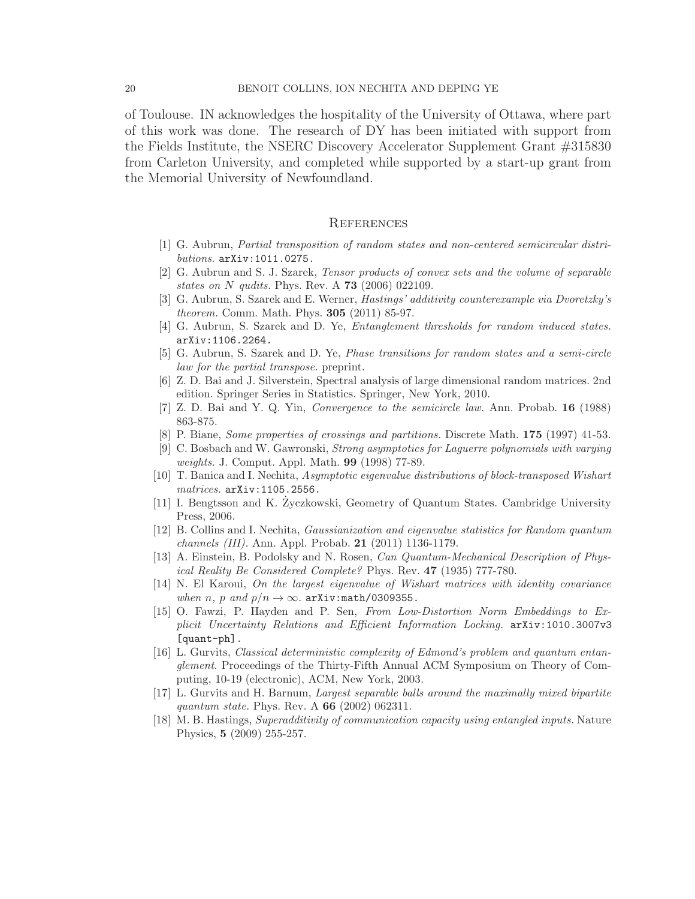of Toulouse. IN acknowledges the hospitality of the University of Ottawa, where part of this work was done. The research of DY has been initiated with support from the Fields Institute, the NSERC Discovery Accelerator Supplement Grant #315830 from Carleton University, and completed while supported by a start-up grant from the Memorial University of Newfoundland.

### **REFERENCES**

- [1] G. Aubrun, Partial transposition of random states and non-centered semicircular distributions. arXiv:1011.0275.
- [2] G. Aubrun and S. J. Szarek, Tensor products of convex sets and the volume of separable states on  $N$  qudits. Phys. Rev. A 73 (2006) 022109.
- [3] G. Aubrun, S. Szarek and E. Werner, Hastings' additivity counterexample via Dvoretzky's theorem. Comm. Math. Phys. 305 (2011) 85-97.
- [4] G. Aubrun, S. Szarek and D. Ye, Entanglement thresholds for random induced states. arXiv:1106.2264.
- [5] G. Aubrun, S. Szarek and D. Ye, Phase transitions for random states and a semi-circle law for the partial transpose. preprint.
- [6] Z. D. Bai and J. Silverstein, Spectral analysis of large dimensional random matrices. 2nd edition. Springer Series in Statistics. Springer, New York, 2010.
- [7] Z. D. Bai and Y. Q. Yin, Convergence to the semicircle law. Ann. Probab. 16 (1988) 863-875.
- [8] P. Biane, Some properties of crossings and partitions. Discrete Math. 175 (1997) 41-53.
- [9] C. Bosbach and W. Gawronski, Strong asymptotics for Laguerre polynomials with varying weights. J. Comput. Appl. Math. 99 (1998) 77-89.
- [10] T. Banica and I. Nechita, Asymptotic eigenvalue distributions of block-transposed Wishart matrices. arXiv:1105.2556.
- [11] I. Bengtsson and K. Zyczkowski, Geometry of Quantum States. Cambridge University ˙ Press, 2006.
- [12] B. Collins and I. Nechita, Gaussianization and eigenvalue statistics for Random quantum channels (III). Ann. Appl. Probab. 21 (2011) 1136-1179.
- [13] A. Einstein, B. Podolsky and N. Rosen, Can Quantum-Mechanical Description of Physical Reality Be Considered Complete? Phys. Rev. 47 (1935) 777-780.
- [14] N. El Karoui, On the largest eigenvalue of Wishart matrices with identity covariance when n, p and  $p/n \rightarrow \infty$ . arXiv:math/0309355.
- [15] O. Fawzi, P. Hayden and P. Sen, From Low-Distortion Norm Embeddings to Explicit Uncertainty Relations and Efficient Information Locking. arXiv:1010.3007v3 [quant-ph].
- [16] L. Gurvits, Classical deterministic complexity of Edmond's problem and quantum entanglement. Proceedings of the Thirty-Fifth Annual ACM Symposium on Theory of Computing, 10-19 (electronic), ACM, New York, 2003.
- [17] L. Gurvits and H. Barnum, Largest separable balls around the maximally mixed bipartite quantum state. Phys. Rev. A **66** (2002) 062311.
- [18] M. B. Hastings, Superadditivity of communication capacity using entangled inputs. Nature Physics, 5 (2009) 255-257.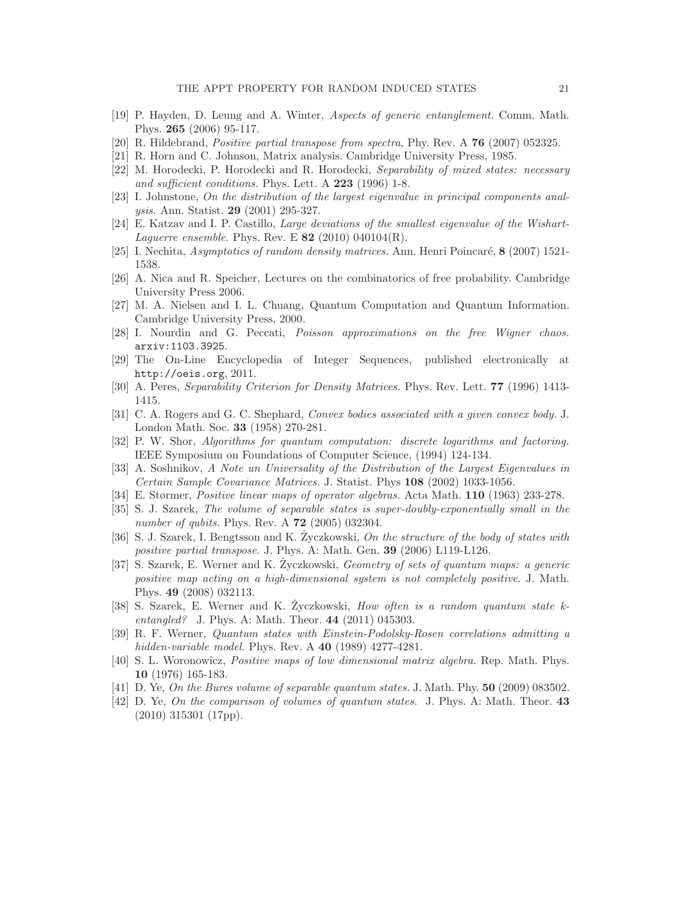- [19] P. Hayden, D. Leung and A. Winter, Aspects of generic entanglement. Comm. Math. Phys. 265 (2006) 95-117.
- [20] R. Hildebrand, Positive partial transpose from spectra, Phy. Rev. A 76 (2007) 052325.
- [21] R. Horn and C. Johnson, Matrix analysis. Cambridge University Press, 1985.
- [22] M. Horodecki, P. Horodecki and R. Horodecki, Separability of mixed states: necessary and sufficient conditions. Phys. Lett. A 223 (1996) 1-8.
- [23] I. Johnstone, On the distribution of the largest eigenvalue in principal components analysis. Ann. Statist. 29 (2001) 295-327.
- [24] E. Katzav and I. P. Castillo, Large deviations of the smallest eigenvalue of the Wishart-Laguerre ensemble. Phys. Rev. E  $82$  (2010) 040104(R).
- [25] I. Nechita, *Asymptotics of random density matrices.* Ann. Henri Poincaré, 8 (2007) 1521-1538.
- [26] A. Nica and R. Speicher, Lectures on the combinatorics of free probability. Cambridge University Press 2006.
- [27] M. A. Nielsen and I. L. Chuang, Quantum Computation and Quantum Information. Cambridge University Press, 2000.
- [28] I. Nourdin and G. Peccati, Poisson approximations on the free Wigner chaos. arxiv:1103.3925.
- [29] The On-Line Encyclopedia of Integer Sequences, published electronically at http://oeis.org, 2011.
- [30] A. Peres, Separability Criterion for Density Matrices. Phys. Rev. Lett. 77 (1996) 1413- 1415.
- [31] C. A. Rogers and G. C. Shephard, Convex bodies associated with a given convex body. J. London Math. Soc. 33 (1958) 270-281.
- [32] P. W. Shor, Algorithms for quantum computation: discrete logarithms and factoring. IEEE Symposium on Foundations of Computer Science, (1994) 124-134.
- [33] A. Soshnikov, A Note un Universality of the Distribution of the Largest Eigenvalues in Certain Sample Covariance Matrices. J. Statist. Phys 108 (2002) 1033-1056.
- [34] E. Størmer, Positive linear maps of operator algebras. Acta Math. 110 (1963) 233-278.
- [35] S. J. Szarek, The volume of separable states is super-doubly-exponentially small in the number of qubits. Phys. Rev. A **72** (2005) 032304.
- [36] S. J. Szarek, I. Bengtsson and K. Zyczkowski, On the structure of the body of states with positive partial transpose. J. Phys. A: Math. Gen. 39 (2006) L119-L126.
- [37] S. Szarek, E. Werner and K. Zyczkowski, *Geometry of sets of quantum maps: a generic* positive map acting on a high-dimensional system is not completely positive. J. Math. Phys. 49 (2008) 032113.
- [38] S. Szarek, E. Werner and K. Zyczkowski, How often is a random quantum state  $k$ entangled? J. Phys. A: Math. Theor. 44 (2011) 045303.
- [39] R. F. Werner, Quantum states with Einstein-Podolsky-Rosen correlations admitting a hidden-variable model. Phys. Rev. A 40 (1989) 4277-4281.
- [40] S. L. Woronowicz, Positive maps of low dimensional matrix algebra. Rep. Math. Phys. 10 (1976) 165-183.
- [41] D. Ye, On the Bures volume of separable quantum states. J. Math. Phy. 50 (2009) 083502.
- [42] D. Ye, *On the comparison of volumes of quantum states.* J. Phys. A: Math. Theor. 43 (2010) 315301 (17pp).